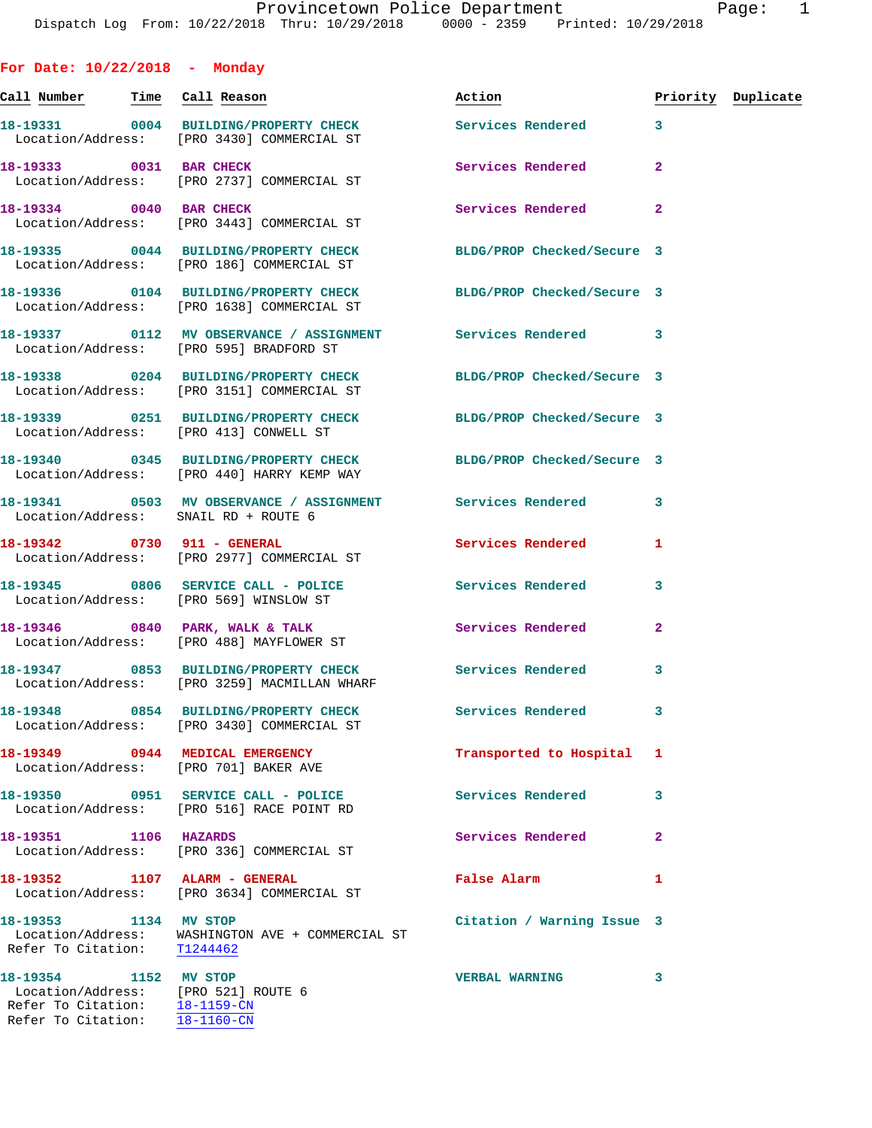**For Date: 10/22/2018 - Monday**

**Call Number Time Call Reason Action Priority Duplicate 18-19331 0004 BUILDING/PROPERTY CHECK Services Rendered 3**  Location/Address: [PRO 3430] COMMERCIAL ST **18-19333 0031 BAR CHECK Services Rendered 2**  Location/Address: [PRO 2737] COMMERCIAL ST **18-19334** 0040 BAR CHECK **18-19334** 2 Location/Address: [PRO 3443] COMMERCIAL ST **18-19335 0044 BUILDING/PROPERTY CHECK BLDG/PROP Checked/Secure 3**  Location/Address: [PRO 186] COMMERCIAL ST **18-19336 0104 BUILDING/PROPERTY CHECK BLDG/PROP Checked/Secure 3**  Location/Address: [PRO 1638] COMMERCIAL ST **18-19337 0112 MV OBSERVANCE / ASSIGNMENT Services Rendered 3**  Location/Address: [PRO 595] BRADFORD ST **18-19338 0204 BUILDING/PROPERTY CHECK BLDG/PROP Checked/Secure 3**  Location/Address: [PRO 3151] COMMERCIAL ST **18-19339 0251 BUILDING/PROPERTY CHECK BLDG/PROP Checked/Secure 3**  Location/Address: [PRO 413] CONWELL ST **18-19340 0345 BUILDING/PROPERTY CHECK BLDG/PROP Checked/Secure 3**  Location/Address: [PRO 440] HARRY KEMP WAY **18-19341 0503 MV OBSERVANCE / ASSIGNMENT Services Rendered 3**  Location/Address: SNAIL RD + ROUTE 6 **18-19342 0730 911 - GENERAL Services Rendered 1**  Location/Address: [PRO 2977] COMMERCIAL ST **18-19345 0806 SERVICE CALL - POLICE Services Rendered 3**  Location/Address: [PRO 569] WINSLOW ST **18-19346 0840 PARK, WALK & TALK Services Rendered 2**  Location/Address: [PRO 488] MAYFLOWER ST **18-19347 0853 BUILDING/PROPERTY CHECK Services Rendered 3**  Location/Address: [PRO 3259] MACMILLAN WHARF **18-19348 0854 BUILDING/PROPERTY CHECK Services Rendered 3**  Location/Address: [PRO 3430] COMMERCIAL ST **18-19349 0944 MEDICAL EMERGENCY Transported to Hospital 1**  Location/Address: [PRO 701] BAKER AVE **18-19350 0951 SERVICE CALL - POLICE Services Rendered 3**  Location/Address: [PRO 516] RACE POINT RD **18-19351 1106 HAZARDS Services Rendered 2**  Location/Address: [PRO 336] COMMERCIAL ST **18-19352 1107 ALARM - GENERAL False Alarm 1**  Location/Address: [PRO 3634] COMMERCIAL ST **18-19353 1134 MV STOP Citation / Warning Issue 3**  Location/Address: WASHINGTON AVE + COMMERCIAL ST Refer To Citation: T1244462 **18-19354 1152 MV STOP VERBAL WARNING 3**  Location/Address: [PRO 521] ROUTE 6 Refer To Citation: 18-1159-CN Refer To Citation: 18-1160-CN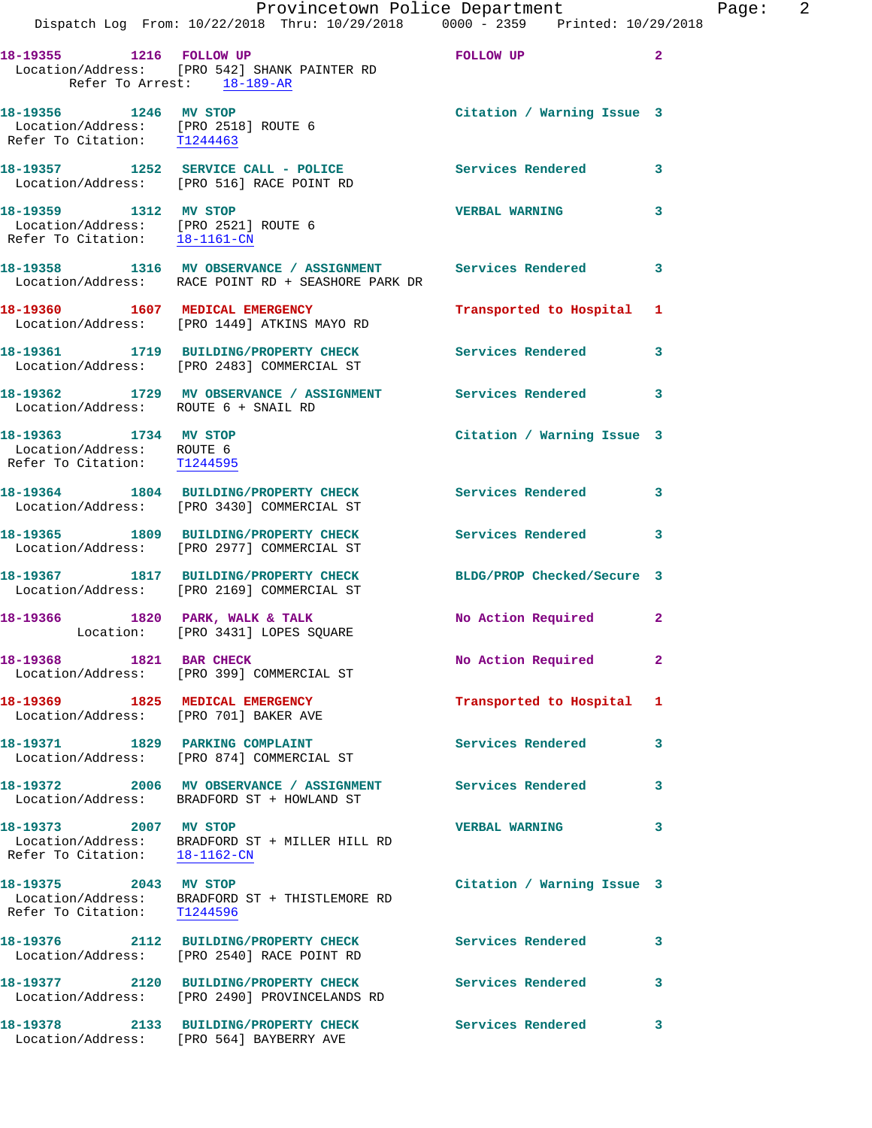|                                                                                   | Dispatch Log From: 10/22/2018 Thru: 10/29/2018 0000 - 2359 Printed: 10/29/2018                                                 | Provincetown Police Department |                | Page: 2 |  |
|-----------------------------------------------------------------------------------|--------------------------------------------------------------------------------------------------------------------------------|--------------------------------|----------------|---------|--|
| Refer To Arrest: 18-189-AR                                                        | Location/Address: [PRO 542] SHANK PAINTER RD                                                                                   |                                | $\overline{2}$ |         |  |
|                                                                                   | 18-19356 1246 MV STOP<br>Location/Address: [PRO 2518] ROUTE 6<br>Refer To Citation: T1244463                                   | Citation / Warning Issue 3     |                |         |  |
|                                                                                   | 18-19357 1252 SERVICE CALL - POLICE 3 Services Rendered 3<br>Location/Address: [PRO 516] RACE POINT RD                         |                                |                |         |  |
|                                                                                   | 18-19359 1312 MV STOP<br>Location/Address: [PRO 2521] ROUTE 6<br>Refer To Citation: 18-1161-CN                                 | <b>VERBAL WARNING</b>          | 3              |         |  |
|                                                                                   | 18-19358 1316 MV OBSERVANCE / ASSIGNMENT Services Rendered 3<br>Location/Address: RACE POINT RD + SEASHORE PARK DR             |                                |                |         |  |
|                                                                                   | 18-19360 1607 MEDICAL EMERGENCY<br>Location/Address: [PRO 1449] ATKINS MAYO RD                                                 | Transported to Hospital 1      |                |         |  |
|                                                                                   | 18-19361 1719 BUILDING/PROPERTY CHECK Services Rendered 3<br>Location/Address: [PRO 2483] COMMERCIAL ST                        |                                |                |         |  |
|                                                                                   | 18-19362 1729 MV OBSERVANCE / ASSIGNMENT Services Rendered 3<br>Location/Address: ROUTE 6 + SNAIL RD                           |                                |                |         |  |
| 18-19363 1734 MV STOP<br>Location/Address: ROUTE 6<br>Refer To Citation: T1244595 |                                                                                                                                | Citation / Warning Issue 3     |                |         |  |
|                                                                                   | 18-19364 1804 BUILDING/PROPERTY CHECK Services Rendered 3<br>Location/Address: [PRO 3430] COMMERCIAL ST                        |                                |                |         |  |
|                                                                                   | 18-19365 1809 BUILDING/PROPERTY CHECK Services Rendered<br>Location/Address: [PRO 2977] COMMERCIAL ST                          |                                | 3              |         |  |
|                                                                                   | 18-19367 1817 BUILDING/PROPERTY CHECK BLDG/PROP Checked/Secure 3<br>Location/Address: [PRO 2169] COMMERCIAL ST                 |                                |                |         |  |
|                                                                                   | 18-19366 1820 PARK, WALK & TALK 1999 No Action Required 2<br>Location: [PRO 3431] LOPES SQUARE                                 |                                |                |         |  |
|                                                                                   | 18-19368 1821 BAR CHECK<br>Location/Address: [PRO 399] COMMERCIAL ST                                                           | No Action Required             | -2             |         |  |
| Location/Address: [PRO 701] BAKER AVE                                             | 18-19369 1825 MEDICAL EMERGENCY                                                                                                | Transported to Hospital 1      |                |         |  |
|                                                                                   | 18-19371 1829 PARKING COMPLAINT<br>Location/Address: [PRO 874] COMMERCIAL ST                                                   | Services Rendered              | 3              |         |  |
|                                                                                   | 18-19372 2006 MV OBSERVANCE / ASSIGNMENT Services Rendered<br>Location/Address: BRADFORD ST + HOWLAND ST                       |                                | 3              |         |  |
| 18-19373 2007 MV STOP<br>Refer To Citation: 18-1162-CN                            | Location/Address: BRADFORD ST + MILLER HILL RD                                                                                 | <b>VERBAL WARNING</b>          | 3              |         |  |
| 18-19375 2043 MV STOP                                                             | $\begin{tabular}{ll} Location/Address: & \texttt{BRADFORD} ST + THISTLEMORE RD \\ Refer To Citation: & T1244596 \end{tabular}$ | Citation / Warning Issue 3     |                |         |  |
|                                                                                   | 18-19376 2112 BUILDING/PROPERTY CHECK Services Rendered<br>Location/Address: [PRO 2540] RACE POINT RD                          |                                | 3              |         |  |
|                                                                                   | 18-19377 2120 BUILDING/PROPERTY CHECK<br>Location/Address: [PRO 2490] PROVINCELANDS RD                                         | Services Rendered              | 3              |         |  |
|                                                                                   | 18-19378 2133 BUILDING/PROPERTY CHECK<br>Location/Address: [PRO 564] BAYBERRY AVE                                              | Services Rendered              | 3              |         |  |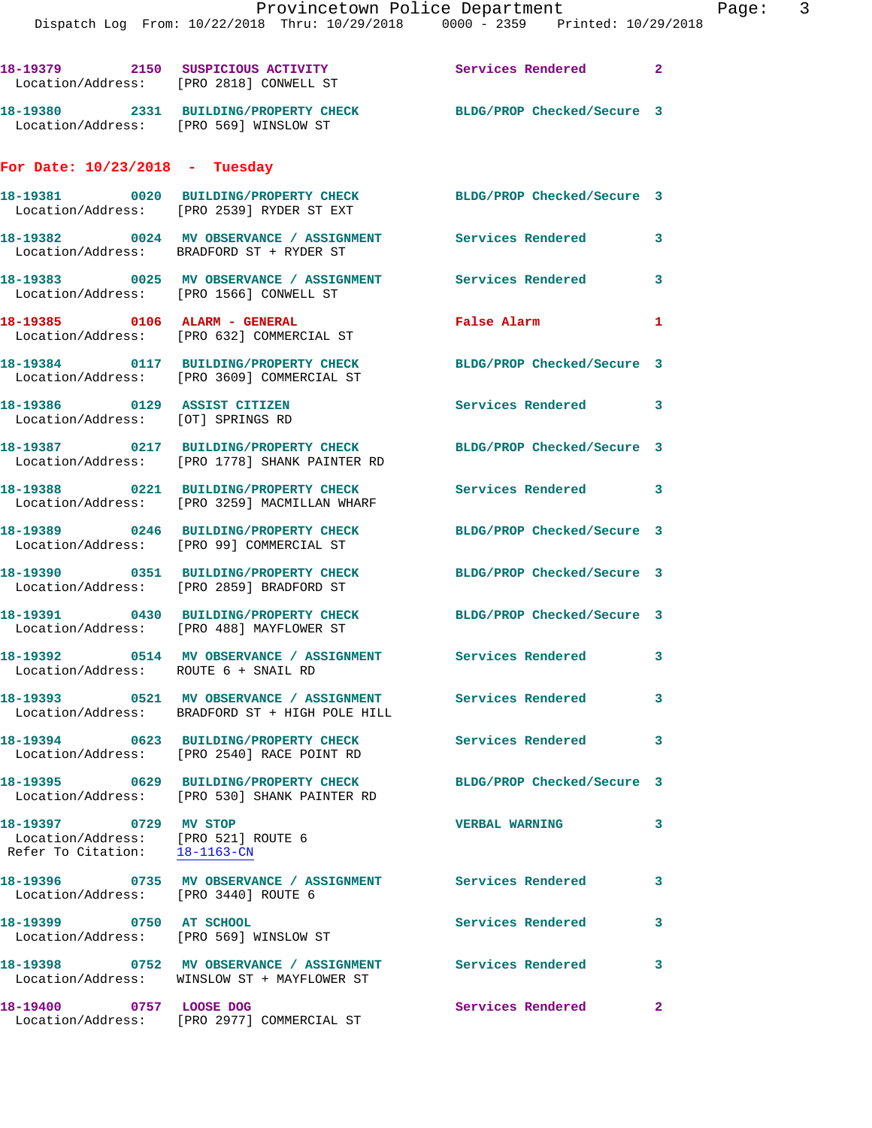Dispatch Log From: 10/22/2018 Thru: 10/29/2018 0000 - 2359 Printed: 10/29/2018

18-19379 2150 SUSPICIOUS ACTIVITY **18-19379** Services Rendered 2 Location/Address: [PRO 2818] CONWELL ST **18-19380 2331 BUILDING/PROPERTY CHECK BLDG/PROP Checked/Secure 3**  Location/Address: [PRO 569] WINSLOW ST **For Date: 10/23/2018 - Tuesday 18-19381 0020 BUILDING/PROPERTY CHECK BLDG/PROP Checked/Secure 3**  Location/Address: [PRO 2539] RYDER ST EXT **18-19382 0024 MV OBSERVANCE / ASSIGNMENT Services Rendered 3**  Location/Address: BRADFORD ST + RYDER ST **18-19383 0025 MV OBSERVANCE / ASSIGNMENT Services Rendered 3**  Location/Address: [PRO 1566] CONWELL ST **18-19385 0106 ALARM - GENERAL False Alarm 1**  Location/Address: [PRO 632] COMMERCIAL ST **18-19384 0117 BUILDING/PROPERTY CHECK BLDG/PROP Checked/Secure 3**  Location/Address: [PRO 3609] COMMERCIAL ST **18-19386 0129 ASSIST CITIZEN Services Rendered 3**  Location/Address: [OT] SPRINGS RD **18-19387 0217 BUILDING/PROPERTY CHECK BLDG/PROP Checked/Secure 3**  Location/Address: [PRO 1778] SHANK PAINTER RD **18-19388 0221 BUILDING/PROPERTY CHECK Services Rendered 3**  Location/Address: [PRO 3259] MACMILLAN WHARF **18-19389 0246 BUILDING/PROPERTY CHECK BLDG/PROP Checked/Secure 3**  Location/Address: [PRO 99] COMMERCIAL ST **18-19390 0351 BUILDING/PROPERTY CHECK BLDG/PROP Checked/Secure 3**  Location/Address: [PRO 2859] BRADFORD ST **18-19391 0430 BUILDING/PROPERTY CHECK BLDG/PROP Checked/Secure 3**  Location/Address: [PRO 488] MAYFLOWER ST **18-19392 0514 MV OBSERVANCE / ASSIGNMENT Services Rendered 3**  Location/Address: ROUTE 6 + SNAIL RD **18-19393 0521 MV OBSERVANCE / ASSIGNMENT Services Rendered 3**  Location/Address: BRADFORD ST + HIGH POLE HILL **18-19394 0623 BUILDING/PROPERTY CHECK Services Rendered 3**  Location/Address: [PRO 2540] RACE POINT RD **18-19395 0629 BUILDING/PROPERTY CHECK BLDG/PROP Checked/Secure 3**  Location/Address: [PRO 530] SHANK PAINTER RD **18-19397 0729 MV STOP VERBAL WARNING 3**  Location/Address: [PRO 521] ROUTE 6 Refer To Citation: 18-1163-CN **18-19396 0735 MV OBSERVANCE / ASSIGNMENT Services Rendered 3**  Location/Address: [PRO 3440] ROUTE 6 **18-19399 0750 AT SCHOOL Services Rendered 3**  Location/Address: [PRO 569] WINSLOW ST **18-19398 0752 MV OBSERVANCE / ASSIGNMENT Services Rendered 3**  Location/Address: WINSLOW ST + MAYFLOWER ST **18-19400 0757 LOOSE DOG Services Rendered 2** 

Location/Address: [PRO 2977] COMMERCIAL ST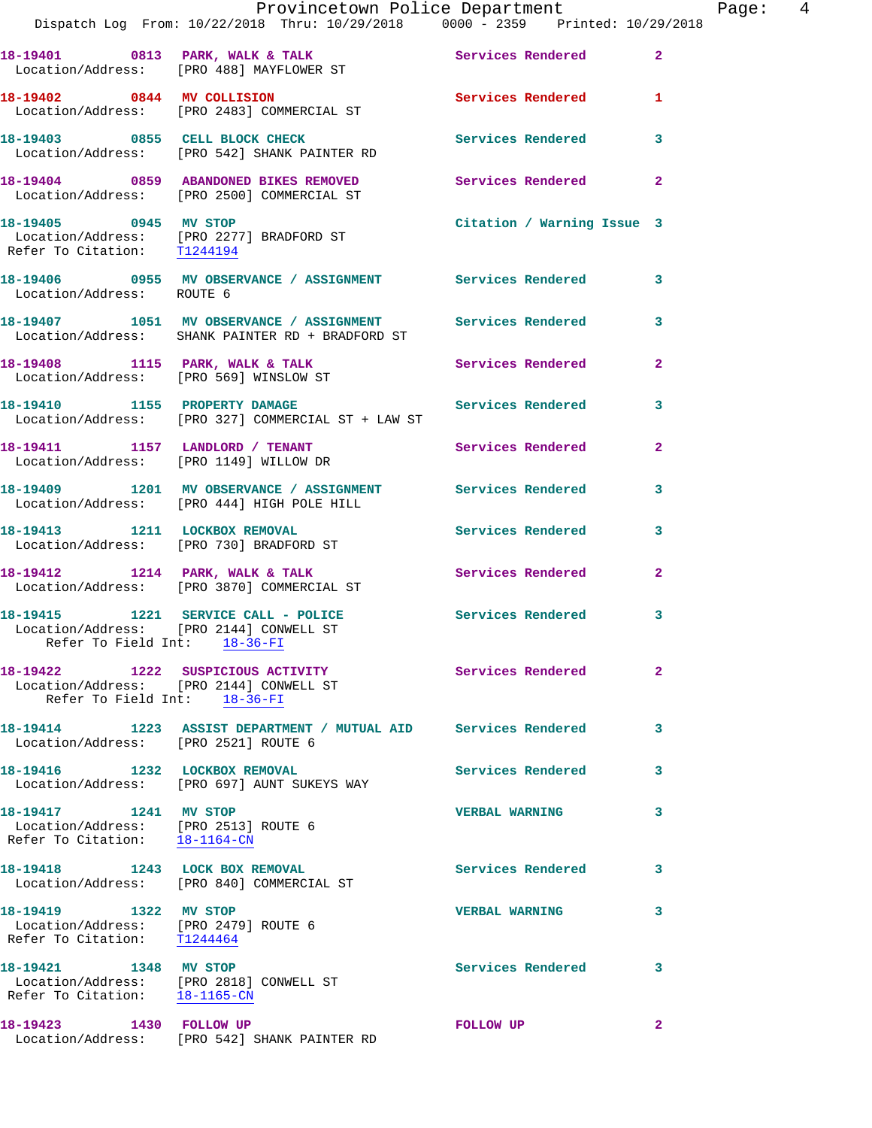|                                                                                                | Provincetown Police Department<br>Dispatch Log From: 10/22/2018 Thru: 10/29/2018 0000 - 2359 Printed: 10/29/2018 |                            |                |
|------------------------------------------------------------------------------------------------|------------------------------------------------------------------------------------------------------------------|----------------------------|----------------|
|                                                                                                | 18-19401 0813 PARK, WALK & TALK (Services Rendered Location/Address: [PRO 488] MAYFLOWER ST                      |                            | $\overline{2}$ |
|                                                                                                | 18-19402 0844 MV COLLISION<br>Location/Address: [PRO 2483] COMMERCIAL ST                                         | <b>Services Rendered</b>   | 1              |
|                                                                                                | 18-19403 0855 CELL BLOCK CHECK<br>Location/Address: [PRO 542] SHANK PAINTER RD                                   | Services Rendered          | 3              |
|                                                                                                | 18-19404 0859 ABANDONED BIKES REMOVED<br>Location/Address: [PRO 2500] COMMERCIAL ST                              | Services Rendered          | $\mathbf{2}$   |
|                                                                                                | 18-19405 0945 MV STOP<br>Location/Address: [PRO 2277] BRADFORD ST<br>Refer To Citation: T1244194                 | Citation / Warning Issue 3 |                |
| Location/Address: ROUTE 6                                                                      | 18-19406 0955 MV OBSERVANCE / ASSIGNMENT Services Rendered                                                       |                            | 3              |
|                                                                                                | 18-19407 1051 MV OBSERVANCE / ASSIGNMENT Services Rendered<br>Location/Address: SHANK PAINTER RD + BRADFORD ST   |                            | 3              |
|                                                                                                | 18-19408 1115 PARK, WALK & TALK<br>Location/Address: [PRO 569] WINSLOW ST                                        | Services Rendered          | $\mathbf{2}$   |
|                                                                                                | 18-19410 1155 PROPERTY DAMAGE<br>Location/Address: [PRO 327] COMMERCIAL ST + LAW ST                              | Services Rendered          | 3              |
|                                                                                                | 18-19411 1157 LANDLORD / TENANT<br>Location/Address: [PRO 1149] WILLOW DR                                        | Services Rendered          | $\overline{a}$ |
|                                                                                                | 18-19409 1201 MV OBSERVANCE / ASSIGNMENT Services Rendered<br>Location/Address: [PRO 444] HIGH POLE HILL         |                            | 3              |
|                                                                                                | 18-19413 1211 LOCKBOX REMOVAL<br>Location/Address: [PRO 730] BRADFORD ST                                         | <b>Services Rendered</b>   | 3              |
|                                                                                                | 18-19412 1214 PARK, WALK & TALK 1998 Services Rendered<br>Location/Address: [PRO 3870] COMMERCIAL ST             |                            | $\overline{a}$ |
|                                                                                                | 18-19415 1221 SERVICE CALL - POLICE<br>Location/Address: [PRO 2144] CONWELL ST<br>Refer To Field Int: 18-36-FI   | <b>Services Rendered</b>   | 3              |
| Refer To Field Int: 18-36-FI                                                                   | 18-19422 1222 SUSPICIOUS ACTIVITY<br>Location/Address: [PRO 2144] CONWELL ST                                     | Services Rendered          | $\mathbf{2}$   |
| Location/Address: [PRO 2521] ROUTE 6                                                           | 18-19414 1223 ASSIST DEPARTMENT / MUTUAL AID Services Rendered                                                   |                            | 3              |
| 18-19416 1232 LOCKBOX REMOVAL                                                                  | Location/Address: [PRO 697] AUNT SUKEYS WAY                                                                      | Services Rendered          | 3              |
| 18-19417 1241 MV STOP<br>Location/Address: [PRO 2513] ROUTE 6<br>Refer To Citation: 18-1164-CN |                                                                                                                  | <b>VERBAL WARNING</b>      | 3              |
|                                                                                                | 18-19418 1243 LOCK BOX REMOVAL<br>Location/Address: [PRO 840] COMMERCIAL ST                                      | <b>Services Rendered</b>   | 3              |
| 18-19419 1322 MV STOP<br>Location/Address: [PRO 2479] ROUTE 6<br>Refer To Citation: T1244464   |                                                                                                                  | <b>VERBAL WARNING</b>      | 3              |
| 18-19421 1348 MV STOP<br>Refer To Citation: 18-1165-CN                                         | Location/Address: [PRO 2818] CONWELL ST                                                                          | <b>Services Rendered</b>   | 3              |
| 18-19423 1430 FOLLOW UP                                                                        | Location/Address: [PRO 542] SHANK PAINTER RD                                                                     | <b>FOLLOW UP</b>           | $\mathbf{2}$   |

Page: 4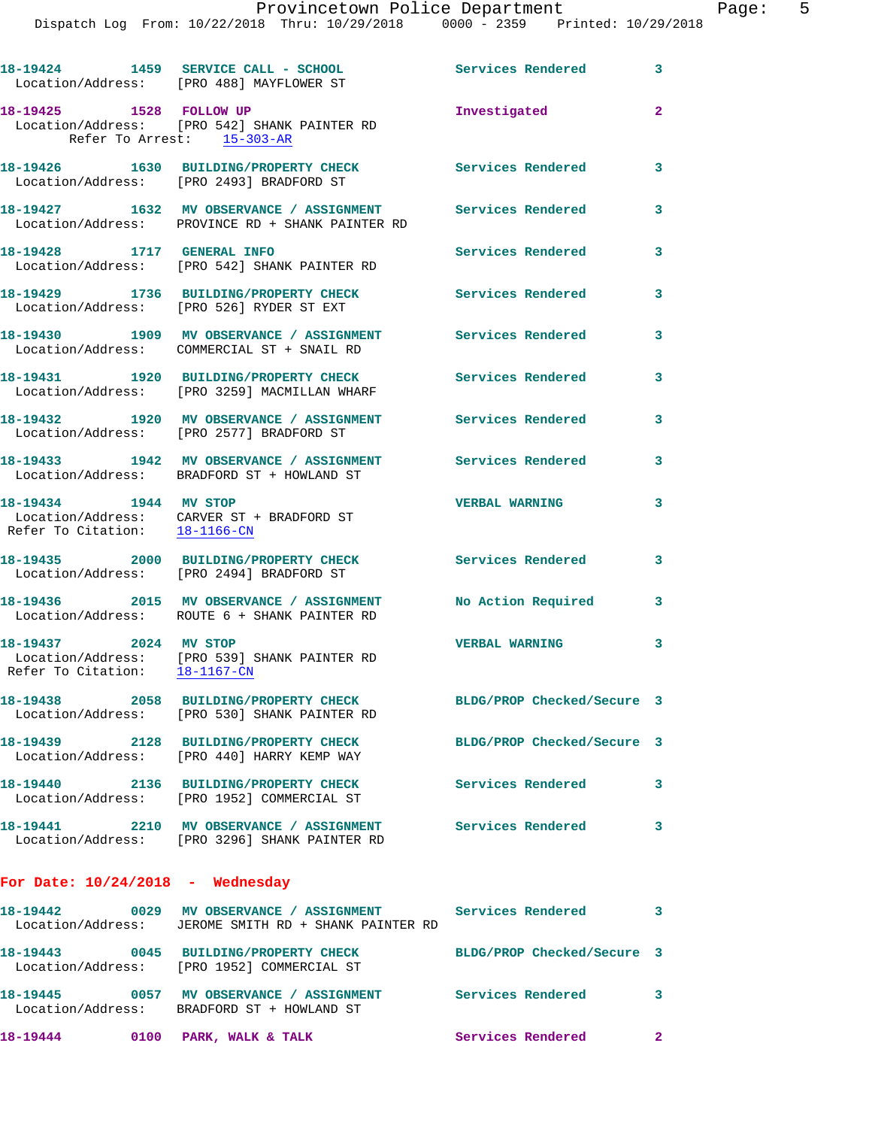Dispatch Log From: 10/22/2018 Thru: 10/29/2018 0000 - 2359 Printed: 10/29/2018

|                                                        | 18-19424 1459 SERVICE CALL - SCHOOL<br>Location/Address: [PRO 488] MAYFLOWER ST                                    | <b>Services Rendered</b>   | 3            |
|--------------------------------------------------------|--------------------------------------------------------------------------------------------------------------------|----------------------------|--------------|
| 18-19425 1528 FOLLOW UP                                | Location/Address: [PRO 542] SHANK PAINTER RD<br>Refer To Arrest: 15-303-AR                                         | Investigated               | $\mathbf{2}$ |
|                                                        | 18-19426 1630 BUILDING/PROPERTY CHECK<br>Location/Address: [PRO 2493] BRADFORD ST                                  | <b>Services Rendered</b>   | 3            |
|                                                        | 18-19427 1632 MV OBSERVANCE / ASSIGNMENT<br>Location/Address: PROVINCE RD + SHANK PAINTER RD                       | Services Rendered          | 3            |
| 18-19428 1717 GENERAL INFO                             | Location/Address: [PRO 542] SHANK PAINTER RD                                                                       | <b>Services Rendered</b>   | 3            |
|                                                        | 18-19429 1736 BUILDING/PROPERTY CHECK<br>Location/Address: [PRO 526] RYDER ST EXT                                  | Services Rendered          | 3            |
|                                                        | 18-19430 1909 MV OBSERVANCE / ASSIGNMENT Services Rendered<br>Location/Address: COMMERCIAL ST + SNAIL RD           |                            | 3            |
|                                                        | 18-19431 1920 BUILDING/PROPERTY CHECK<br>Location/Address: [PRO 3259] MACMILLAN WHARF                              | <b>Services Rendered</b>   | 3            |
|                                                        | 18-19432 1920 MV OBSERVANCE / ASSIGNMENT Services Rendered<br>Location/Address: [PRO 2577] BRADFORD ST             |                            | 3            |
|                                                        | 18-19433 1942 MV OBSERVANCE / ASSIGNMENT Services Rendered<br>Location/Address: BRADFORD ST + HOWLAND ST           |                            | 3            |
| 18-19434 1944 MV STOP<br>Refer To Citation: 18-1166-CN | Location/Address: CARVER ST + BRADFORD ST                                                                          | <b>VERBAL WARNING</b>      | 3            |
|                                                        | 18-19435 2000 BUILDING/PROPERTY CHECK<br>Location/Address: [PRO 2494] BRADFORD ST                                  | Services Rendered          | 3            |
|                                                        | 18-19436 2015 MV OBSERVANCE / ASSIGNMENT<br>Location/Address: ROUTE 6 + SHANK PAINTER RD                           | No Action Required         | 3            |
| 18-19437 2024 MV STOP<br>Refer To Citation: 18-1167-CN | Location/Address: [PRO 539] SHANK PAINTER RD                                                                       | <b>VERBAL WARNING</b>      | 3            |
| 18-19438                                               | 2058 BUILDING/PROPERTY CHECK<br>Location/Address: [PRO 530] SHANK PAINTER RD                                       | BLDG/PROP Checked/Secure 3 |              |
|                                                        | 18-19439 2128 BUILDING/PROPERTY CHECK<br>Location/Address: [PRO 440] HARRY KEMP WAY                                | BLDG/PROP Checked/Secure 3 |              |
|                                                        | 18-19440 2136 BUILDING/PROPERTY CHECK Services Rendered 3<br>Location/Address: [PRO 1952] COMMERCIAL ST            |                            |              |
|                                                        | 18-19441 2210 MV OBSERVANCE / ASSIGNMENT Services Rendered<br>Location/Address: [PRO 3296] SHANK PAINTER RD        |                            | 3            |
| For Date: $10/24/2018$ - Wednesday                     |                                                                                                                    |                            |              |
|                                                        | 18-19442 0029 MV OBSERVANCE / ASSIGNMENT Services Rendered<br>Location/Address: JEROME SMITH RD + SHANK PAINTER RD |                            | 3            |
|                                                        | 18-19443 0045 BUILDING/PROPERTY CHECK<br>Location/Address: [PRO 1952] COMMERCIAL ST                                | BLDG/PROP Checked/Secure 3 |              |
|                                                        | 18-19445 0057 MV OBSERVANCE / ASSIGNMENT Services Rendered<br>Location/Address: BRADFORD ST + HOWLAND ST           |                            | 3            |
| 18-19444 0100 PARK, WALK & TALK                        |                                                                                                                    | <b>Services Rendered</b>   | $\mathbf{2}$ |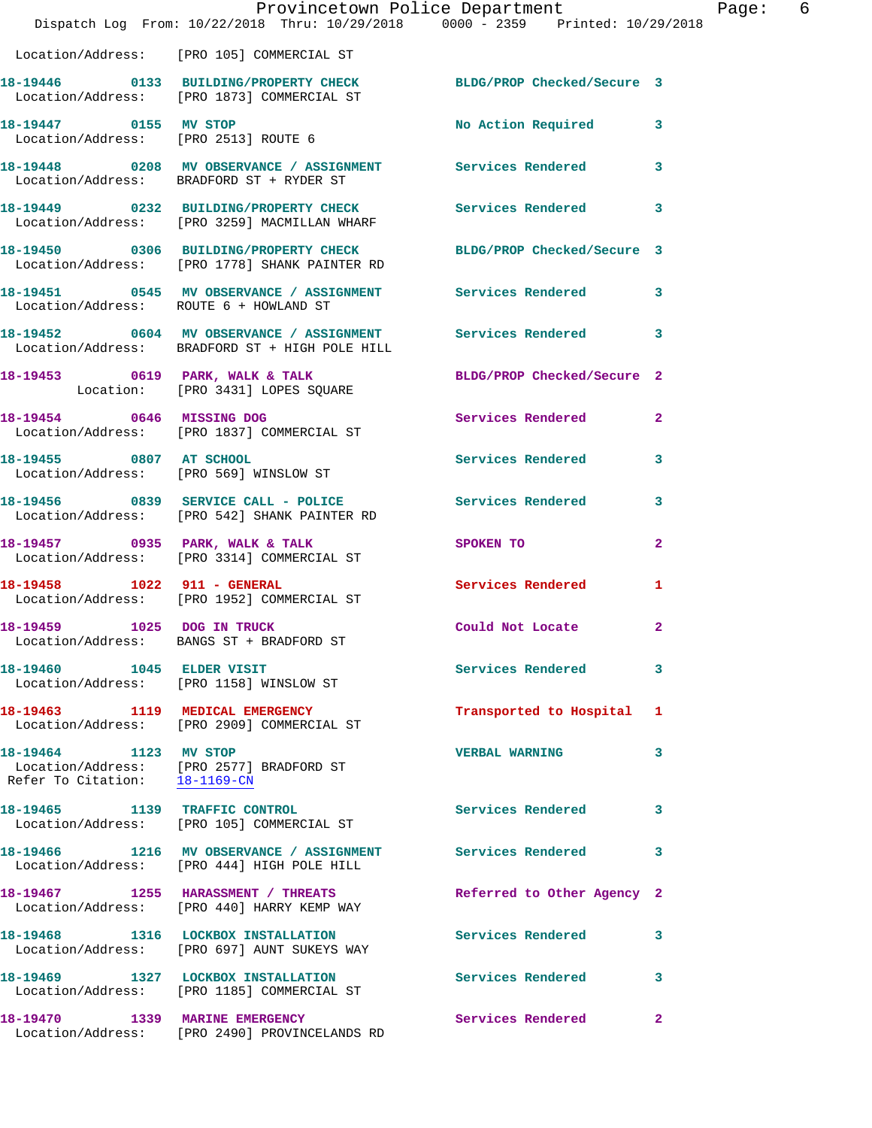|                                                        | Provincetown Police Department<br>Dispatch Log From: 10/22/2018 Thru: 10/29/2018 0000 - 2359 Printed: 10/29/2018     |                            |                |
|--------------------------------------------------------|----------------------------------------------------------------------------------------------------------------------|----------------------------|----------------|
|                                                        | Location/Address: [PRO 105] COMMERCIAL ST                                                                            |                            |                |
|                                                        | 18-19446 0133 BUILDING/PROPERTY CHECK BLDG/PROP Checked/Secure 3<br>Location/Address: [PRO 1873] COMMERCIAL ST       |                            |                |
| 18-19447 0155 MV STOP                                  | Location/Address: [PRO 2513] ROUTE 6                                                                                 | No Action Required         | 3              |
|                                                        | 18-19448 0208 MV OBSERVANCE / ASSIGNMENT Services Rendered<br>Location/Address: BRADFORD ST + RYDER ST               |                            | 3              |
|                                                        | 18-19449     0232 BUILDING/PROPERTY CHECK        Services Rendered<br>Location/Address:   [PRO 3259] MACMILLAN WHARF |                            | 3              |
|                                                        | 18-19450 0306 BUILDING/PROPERTY CHECK<br>Location/Address: [PRO 1778] SHANK PAINTER RD                               | BLDG/PROP Checked/Secure 3 |                |
|                                                        | 18-19451 0545 MV OBSERVANCE / ASSIGNMENT Services Rendered<br>Location/Address: ROUTE 6 + HOWLAND ST                 |                            | 3              |
|                                                        | Location/Address: BRADFORD ST + HIGH POLE HILL                                                                       |                            | 3              |
|                                                        | 18-19453 0619 PARK, WALK & TALK<br>Location: [PRO 3431] LOPES SQUARE                                                 | BLDG/PROP Checked/Secure 2 |                |
|                                                        | 18-19454 0646 MISSING DOG<br>Location/Address: [PRO 1837] COMMERCIAL ST                                              | Services Rendered          | $\overline{a}$ |
| 18-19455 0807 AT SCHOOL                                | Location/Address: [PRO 569] WINSLOW ST                                                                               | <b>Services Rendered</b>   | 3              |
|                                                        | 18-19456 0839 SERVICE CALL - POLICE Services Rendered<br>Location/Address: [PRO 542] SHANK PAINTER RD                |                            | 3              |
|                                                        | 18-19457 0935 PARK, WALK & TALK<br>Location/Address: [PRO 3314] COMMERCIAL ST                                        | SPOKEN TO                  | 2              |
| 18-19458 1022 911 - GENERAL                            | Location/Address: [PRO 1952] COMMERCIAL ST                                                                           | <b>Services Rendered</b>   | 1              |
| 18-19459 1025 DOG IN TRUCK                             | Location/Address: BANGS ST + BRADFORD ST                                                                             | Could Not Locate           | $\mathbf{2}$   |
|                                                        | 18-19460 1045 ELDER VISIT<br>Location/Address: [PRO 1158] WINSLOW ST                                                 | <b>Services Rendered</b>   | 3              |
|                                                        | 18-19463 1119 MEDICAL EMERGENCY<br>Location/Address: [PRO 2909] COMMERCIAL ST                                        | Transported to Hospital    | 1              |
| 18-19464 1123 MV STOP<br>Refer To Citation: 18-1169-CN | Location/Address: [PRO 2577] BRADFORD ST                                                                             | <b>VERBAL WARNING</b>      | 3              |
|                                                        | 18-19465 1139 TRAFFIC CONTROL<br>Location/Address: [PRO 105] COMMERCIAL ST                                           | <b>Services Rendered</b>   | 3              |
|                                                        | 18-19466 1216 MV OBSERVANCE / ASSIGNMENT Services Rendered<br>Location/Address: [PRO 444] HIGH POLE HILL             |                            | 3              |
|                                                        | 18-19467 1255 HARASSMENT / THREATS<br>Location/Address: [PRO 440] HARRY KEMP WAY                                     | Referred to Other Agency 2 |                |
|                                                        | 18-19468 1316 LOCKBOX INSTALLATION<br>Location/Address: [PRO 697] AUNT SUKEYS WAY                                    | Services Rendered          | 3              |
|                                                        | 18-19469 1327 LOCKBOX INSTALLATION<br>Location/Address: [PRO 1185] COMMERCIAL ST                                     | <b>Services Rendered</b>   | 3              |
| 18-19470 1339 MARINE EMERGENCY                         |                                                                                                                      | <b>Services Rendered</b>   | $\mathbf{2}$   |

Location/Address: [PRO 2490] PROVINCELANDS RD

Page: 6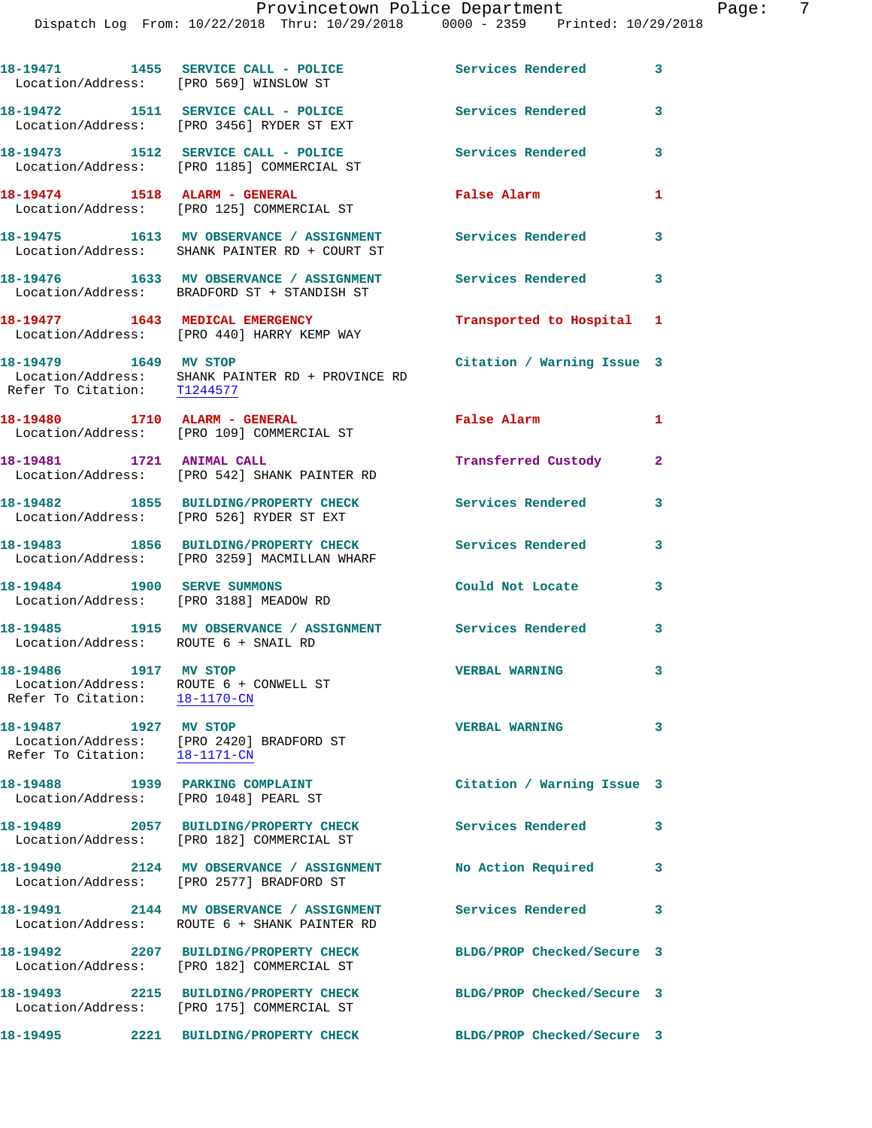| 18-19471<br>Location/Address: [PRO 569] WINSLOW ST                                               | 1455 SERVICE CALL - POLICE                                                                | Services Rendered          | $\mathbf{3}$ |
|--------------------------------------------------------------------------------------------------|-------------------------------------------------------------------------------------------|----------------------------|--------------|
|                                                                                                  | 18-19472 1511 SERVICE CALL - POLICE<br>Location/Address: [PRO 3456] RYDER ST EXT          | Services Rendered          | 3            |
|                                                                                                  | 18-19473 1512 SERVICE CALL - POLICE<br>Location/Address: [PRO 1185] COMMERCIAL ST         | Services Rendered          | 3            |
|                                                                                                  | 18-19474 1518 ALARM - GENERAL<br>Location/Address: [PRO 125] COMMERCIAL ST                | False Alarm                | $\mathbf{1}$ |
|                                                                                                  | 18-19475 1613 MV OBSERVANCE / ASSIGNMENT<br>Location/Address: SHANK PAINTER RD + COURT ST | <b>Services Rendered</b>   | 3            |
|                                                                                                  | 18-19476 1633 MV OBSERVANCE / ASSIGNMENT<br>Location/Address: BRADFORD ST + STANDISH ST   | <b>Services Rendered</b>   | 3            |
|                                                                                                  | 18-19477 1643 MEDICAL EMERGENCY<br>Location/Address: [PRO 440] HARRY KEMP WAY             | Transported to Hospital 1  |              |
| 18-19479 1649 MV STOP<br>Refer To Citation: T1244577                                             | Location/Address: SHANK PAINTER RD + PROVINCE RD                                          | Citation / Warning Issue 3 |              |
|                                                                                                  | 18-19480 1710 ALARM - GENERAL<br>Location/Address: [PRO 109] COMMERCIAL ST                | <b>False Alarm</b>         | $\mathbf{1}$ |
| 18-19481 1721 ANIMAL CALL                                                                        | Location/Address: [PRO 542] SHANK PAINTER RD                                              | Transferred Custody        | $\mathbf{2}$ |
|                                                                                                  | 18-19482 1855 BUILDING/PROPERTY CHECK<br>Location/Address: [PRO 526] RYDER ST EXT         | <b>Services Rendered</b>   | 3            |
|                                                                                                  | 18-19483 1856 BUILDING/PROPERTY CHECK<br>Location/Address: [PRO 3259] MACMILLAN WHARF     | <b>Services Rendered</b>   | 3            |
| 18-19484 1900 SERVE SUMMONS                                                                      | Location/Address: [PRO 3188] MEADOW RD                                                    | Could Not Locate           | 3            |
| Location/Address: ROUTE 6 + SNAIL RD                                                             | 18-19485 1915 MV OBSERVANCE / ASSIGNMENT Services Rendered                                |                            | 3            |
| 18-19486 1917 MV STOP<br>Location/Address: ROUTE 6 + CONWELL ST<br>Refer To Citation: 18-1170-CN |                                                                                           | <b>VERBAL WARNING</b>      | 3            |
| 18-19487 1927 MV STOP                                                                            | Location/Address: [PRO 2420] BRADFORD ST<br>Refer To Citation: 18-1171-CN                 | <b>VERBAL WARNING</b>      | 3            |
| 18-19488 1939 PARKING COMPLAINT<br>Location/Address: [PRO 1048] PEARL ST                         |                                                                                           | Citation / Warning Issue 3 |              |
|                                                                                                  | 18-19489 2057 BUILDING/PROPERTY CHECK<br>Location/Address: [PRO 182] COMMERCIAL ST        | <b>Services Rendered</b>   | 3            |
|                                                                                                  | 18-19490 2124 MV OBSERVANCE / ASSIGNMENT<br>Location/Address: [PRO 2577] BRADFORD ST      | No Action Required         | 3            |
|                                                                                                  | 18-19491 2144 MV OBSERVANCE / ASSIGNMENT<br>Location/Address: ROUTE 6 + SHANK PAINTER RD  | <b>Services Rendered</b>   | 3            |
|                                                                                                  | 18-19492 2207 BUILDING/PROPERTY CHECK<br>Location/Address: [PRO 182] COMMERCIAL ST        | BLDG/PROP Checked/Secure 3 |              |
|                                                                                                  | 18-19493 2215 BUILDING/PROPERTY CHECK<br>Location/Address: [PRO 175] COMMERCIAL ST        | BLDG/PROP Checked/Secure 3 |              |
|                                                                                                  |                                                                                           | BLDG/PROP Checked/Secure 3 |              |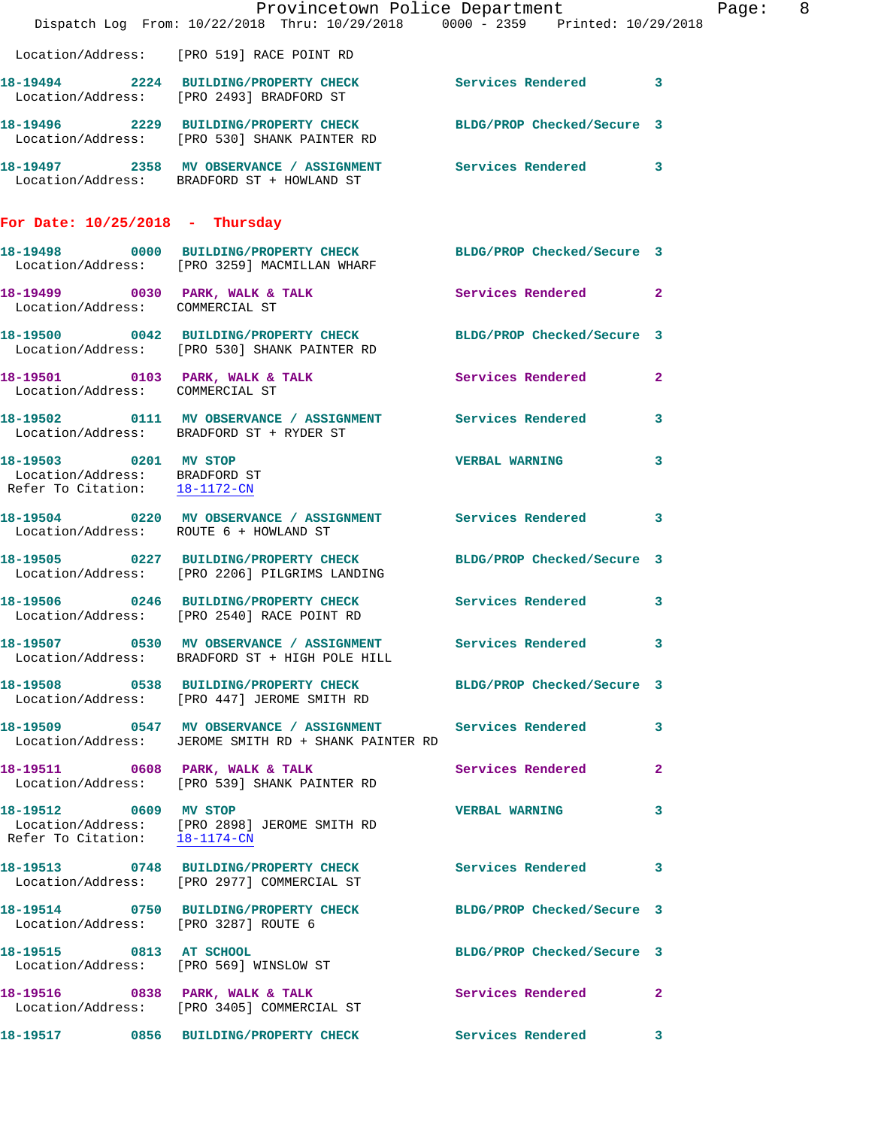|                                                                                         |                                                                                                                      | Provincetown Police Department | Page: 8      |
|-----------------------------------------------------------------------------------------|----------------------------------------------------------------------------------------------------------------------|--------------------------------|--------------|
|                                                                                         | Dispatch Log From: 10/22/2018 Thru: 10/29/2018 0000 - 2359 Printed: 10/29/2018                                       |                                |              |
|                                                                                         | Location/Address: [PRO 519] RACE POINT RD                                                                            |                                |              |
|                                                                                         | 18-19494 2224 BUILDING/PROPERTY CHECK Services Rendered 3<br>Location/Address: [PRO 2493] BRADFORD ST                |                                |              |
|                                                                                         | 18-19496 2229 BUILDING/PROPERTY CHECK BLDG/PROP Checked/Secure 3<br>Location/Address: [PRO 530] SHANK PAINTER RD     |                                |              |
|                                                                                         | 18-19497 2358 MV OBSERVANCE / ASSIGNMENT Services Rendered 3<br>Location/Address: BRADFORD ST + HOWLAND ST           |                                |              |
| For Date: $10/25/2018$ - Thursday                                                       |                                                                                                                      |                                |              |
|                                                                                         | 18-19498 0000 BUILDING/PROPERTY CHECK BLDG/PROP Checked/Secure 3<br>Location/Address: [PRO 3259] MACMILLAN WHARF     |                                |              |
|                                                                                         | 18-19499 0030 PARK, WALK & TALK Services Rendered 2<br>Location/Address: COMMERCIAL ST                               |                                |              |
|                                                                                         | 18-19500 0042 BUILDING/PROPERTY CHECK BLDG/PROP Checked/Secure 3<br>Location/Address: [PRO 530] SHANK PAINTER RD     |                                |              |
| Location/Address: COMMERCIAL ST                                                         | 18-19501 0103 PARK, WALK & TALK Services Rendered                                                                    |                                | $\mathbf{2}$ |
|                                                                                         | 18-19502 0111 MV OBSERVANCE / ASSIGNMENT Services Rendered 3<br>Location/Address: BRADFORD ST + RYDER ST             |                                |              |
| 18-19503 0201 MV STOP<br>Location/Address: BRADFORD ST<br>Refer To Citation: 18-1172-CN |                                                                                                                      | VERBAL WARNING 3               |              |
|                                                                                         | 18-19504 0220 MV OBSERVANCE / ASSIGNMENT Services Rendered 3<br>Location/Address: ROUTE 6 + HOWLAND ST               |                                |              |
|                                                                                         | 18-19505 0227 BUILDING/PROPERTY CHECK BLDG/PROP Checked/Secure 3<br>Location/Address: [PRO 2206] PILGRIMS LANDING    |                                |              |
|                                                                                         | 18-19506 0246 BUILDING/PROPERTY CHECK Services Rendered 3<br>Location/Address: [PRO 2540] RACE POINT RD              |                                |              |
|                                                                                         | 18-19507 0530 MV OBSERVANCE / ASSIGNMENT<br>Location/Address: BRADFORD ST + HIGH POLE HILL                           | Services Rendered 3            |              |
|                                                                                         | 18-19508 0538 BUILDING/PROPERTY CHECK BLDG/PROP Checked/Secure 3<br>Location/Address: [PRO 447] JEROME SMITH RD      |                                |              |
|                                                                                         | 18-19509 0547 MV OBSERVANCE / ASSIGNMENT Services Rendered 3<br>Location/Address: JEROME SMITH RD + SHANK PAINTER RD |                                |              |
|                                                                                         | 18-19511 0608 PARK, WALK & TALK 1999 Services Rendered<br>Location/Address: [PRO 539] SHANK PAINTER RD               |                                | $\mathbf{2}$ |
| 18-19512 0609 MV STOP<br>Refer To Citation: $18-1174-CN$                                | Location/Address: [PRO 2898] JEROME SMITH RD                                                                         | VERBAL WARNING 3               |              |
|                                                                                         | 18-19513 0748 BUILDING/PROPERTY CHECK Services Rendered 3<br>Location/Address: [PRO 2977] COMMERCIAL ST              |                                |              |
| Location/Address: [PRO 3287] ROUTE 6                                                    | 18-19514 0750 BUILDING/PROPERTY CHECK BLDG/PROP Checked/Secure 3                                                     |                                |              |
|                                                                                         | 18-19515 0813 AT SCHOOL<br>Location/Address: [PRO 569] WINSLOW ST                                                    | BLDG/PROP Checked/Secure 3     |              |
|                                                                                         | 18-19516 0838 PARK, WALK & TALK<br>Location/Address: [PRO 3405] COMMERCIAL ST                                        | Services Rendered 2            |              |
|                                                                                         | 18-19517 0856 BUILDING/PROPERTY CHECK Services Rendered 3                                                            |                                |              |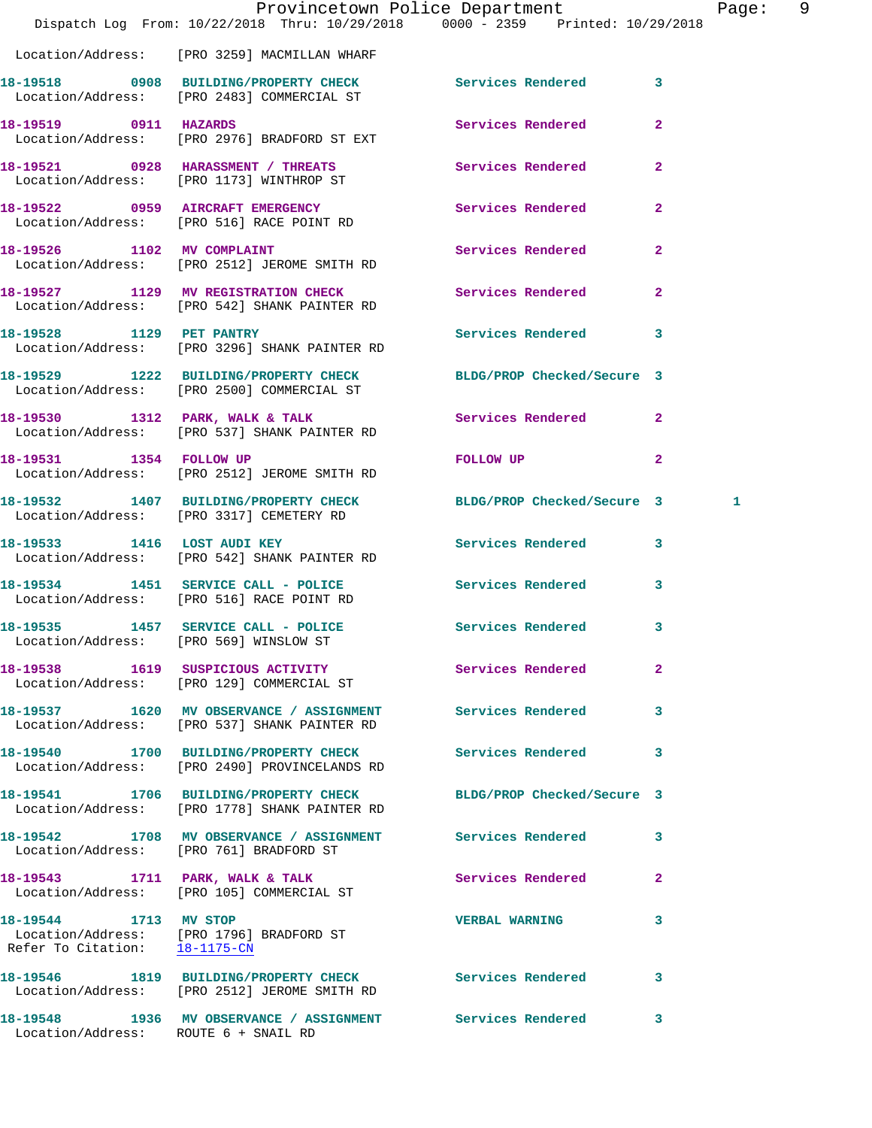|                                                        | Dispatch Log From: 10/22/2018 Thru: 10/29/2018 0000 - 2359 Printed: 10/29/2018                               | Provincetown Police Department | Page: 9        |  |
|--------------------------------------------------------|--------------------------------------------------------------------------------------------------------------|--------------------------------|----------------|--|
|                                                        | Location/Address: [PRO 3259] MACMILLAN WHARF                                                                 |                                |                |  |
|                                                        | 18-19518 0908 BUILDING/PROPERTY CHECK Services Rendered 3<br>Location/Address: [PRO 2483] COMMERCIAL ST      |                                |                |  |
| 18-19519 0911 HAZARDS                                  | Location/Address: [PRO 2976] BRADFORD ST EXT                                                                 | Services Rendered              | $\overline{2}$ |  |
|                                                        | 18-19521 0928 HARASSMENT / THREATS<br>Location/Address: [PRO 1173] WINTHROP ST                               | <b>Services Rendered</b>       | $\overline{2}$ |  |
|                                                        | 18-19522 0959 AIRCRAFT EMERGENCY<br>Location/Address: [PRO 516] RACE POINT RD                                | Services Rendered 2            |                |  |
|                                                        | 18-19526 1102 MV COMPLAINT<br>Location/Address: [PRO 2512] JEROME SMITH RD                                   | Services Rendered 2            |                |  |
|                                                        | 18-19527 1129 MV REGISTRATION CHECK Services Rendered<br>Location/Address: [PRO 542] SHANK PAINTER RD        |                                | $\mathbf{2}$   |  |
| 18-19528 1129 PET PANTRY                               | Location/Address: [PRO 3296] SHANK PAINTER RD                                                                | Services Rendered 3            |                |  |
|                                                        | 18-19529 1222 BUILDING/PROPERTY CHECK<br>Location/Address: [PRO 2500] COMMERCIAL ST                          | BLDG/PROP Checked/Secure 3     |                |  |
|                                                        | 18-19530 1312 PARK, WALK & TALK<br>Location/Address: [PRO 537] SHANK PAINTER RD                              | Services Rendered 2            |                |  |
|                                                        | 18-19531 1354 FOLLOW UP<br>Location/Address: [PRO 2512] JEROME SMITH RD                                      | FOLLOW UP NOTES                | $\overline{2}$ |  |
|                                                        | 18-19532 1407 BUILDING/PROPERTY CHECK BLDG/PROP Checked/Secure 3<br>Location/Address: [PRO 3317] CEMETERY RD |                                | 1              |  |
|                                                        | 18-19533 1416 LOST AUDI KEY<br>Location/Address: [PRO 542] SHANK PAINTER RD                                  | Services Rendered 3            |                |  |
|                                                        | 18-19534 1451 SERVICE CALL - POLICE<br>Location/Address: [PRO 516] RACE POINT RD                             | <b>Services Rendered</b>       | $\mathbf{3}$   |  |
|                                                        | 18-19535 1457 SERVICE CALL - POLICE 3 Services Rendered 3<br>Location/Address: [PRO 569] WINSLOW ST          |                                |                |  |
|                                                        | 18-19538 1619 SUSPICIOUS ACTIVITY<br>Location/Address: [PRO 129] COMMERCIAL ST                               | Services Rendered 2            |                |  |
|                                                        | 18-19537 1620 MV OBSERVANCE / ASSIGNMENT Services Rendered<br>Location/Address: [PRO 537] SHANK PAINTER RD   |                                | 3              |  |
|                                                        | 18-19540 1700 BUILDING/PROPERTY CHECK Services Rendered 3<br>Location/Address: [PRO 2490] PROVINCELANDS RD   |                                |                |  |
|                                                        | 18-19541 1706 BUILDING/PROPERTY CHECK<br>Location/Address: [PRO 1778] SHANK PAINTER RD                       | BLDG/PROP Checked/Secure 3     |                |  |
|                                                        | 18-19542 1708 MV OBSERVANCE / ASSIGNMENT Services Rendered 3<br>Location/Address: [PRO 761] BRADFORD ST      |                                |                |  |
|                                                        | 18-19543 1711 PARK, WALK & TALK<br>Location/Address: [PRO 105] COMMERCIAL ST                                 | Services Rendered              | $\mathbf{2}$   |  |
| 18-19544 1713 MV STOP<br>Refer To Citation: 18-1175-CN | Location/Address: [PRO 1796] BRADFORD ST                                                                     | <b>VERBAL WARNING</b>          | 3              |  |
|                                                        | 18-19546 1819 BUILDING/PROPERTY CHECK Services Rendered 3<br>Location/Address: [PRO 2512] JEROME SMITH RD    |                                |                |  |
| Location/Address: ROUTE 6 + SNAIL RD                   | 18-19548 1936 MV OBSERVANCE / ASSIGNMENT Services Rendered                                                   |                                | 3              |  |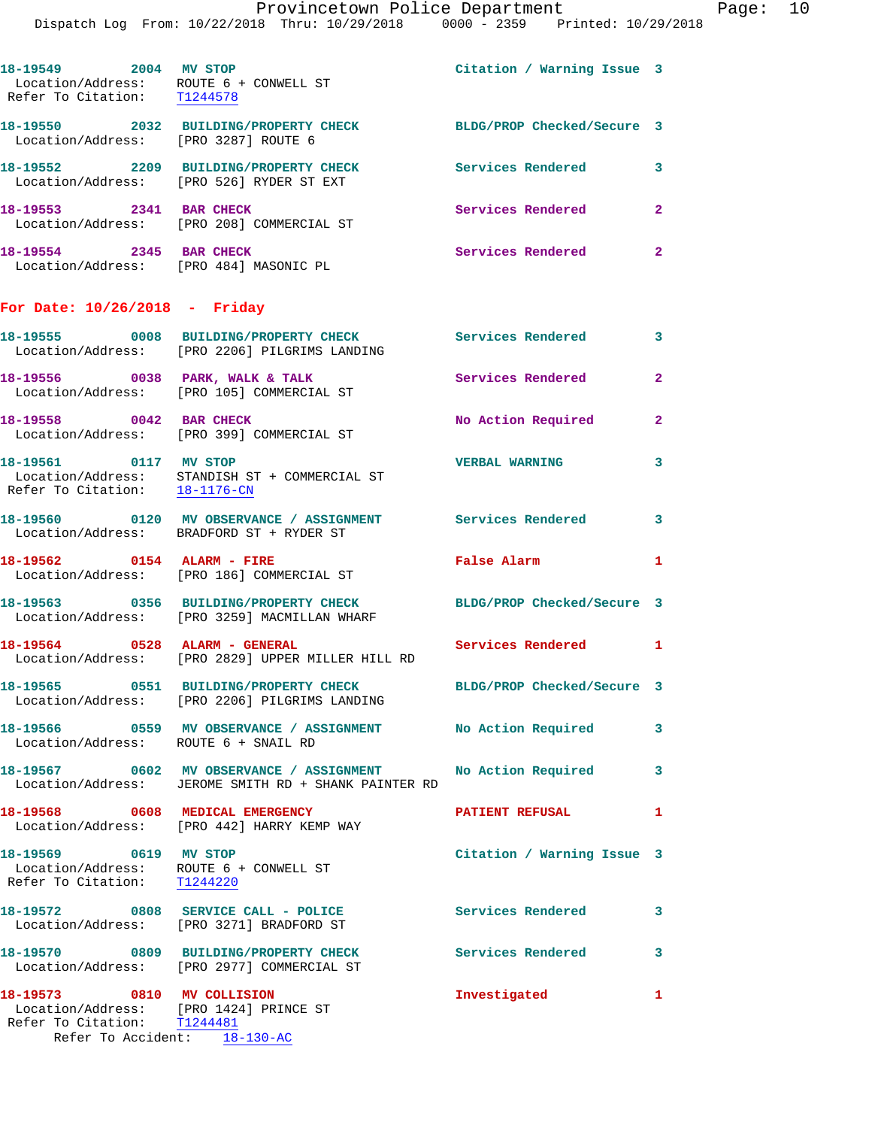| 18-19549<br>2004<br>Refer To Citation:           | MV STOP<br>Location/Address: ROUTE 6 + CONWELL ST<br>T1244578 | Citation / Warning Issue 3 |   |
|--------------------------------------------------|---------------------------------------------------------------|----------------------------|---|
| 18-19550<br>Location/Address: [PRO 3287] ROUTE 6 | 2032 BUILDING/PROPERTY CHECK                                  | BLDG/PROP Checked/Secure 3 |   |
| 18-19552<br>2209<br>Location/Address:            | <b>BUILDING/PROPERTY CHECK</b><br>FPRO 5261 RYDER ST EXT      | Services Rendered          | 3 |
| 18–19553<br>2341                                 | <b>BAR CHECK</b><br>Location/Address: [PRO 208] COMMERCIAL ST | Services Rendered          | 2 |
| 18-19554<br>2345<br>Location/Address:            | <b>BAR CHECK</b><br>[PRO 484] MASONIC PL                      | Services Rendered          | 2 |

## **For Date: 10/26/2018 - Friday**

Refer To Accident: 18-130-AC

|                                                      | 18-19555 0008 BUILDING/PROPERTY CHECK<br>Location/Address: [PRO 2206] PILGRIMS LANDING                                                      | Services Rendered          | $\mathbf{3}$            |
|------------------------------------------------------|---------------------------------------------------------------------------------------------------------------------------------------------|----------------------------|-------------------------|
| 18-19556 0038 PARK, WALK & TALK                      | Location/Address: [PRO 105] COMMERCIAL ST                                                                                                   | Services Rendered          | $\overline{2}$          |
| 18-19558 0042 BAR CHECK                              | Location/Address: [PRO 399] COMMERCIAL ST                                                                                                   | No Action Required         | $\overline{2}$          |
| 18-19561 0117 MV STOP                                | $\begin{tabular}{ll} Location/Address: & \texttt{STANDISH} ST + COMMERCIAL ST \\ Refer To Citation: & \underline{18-1176-CN} \end{tabular}$ | <b>VERBAL WARNING</b>      | $\overline{3}$          |
|                                                      | 18-19560 0120 MV OBSERVANCE / ASSIGNMENT Services Rendered<br>Location/Address: BRADFORD ST + RYDER ST                                      |                            | $\overline{\mathbf{3}}$ |
| 18-19562 0154 ALARM - FIRE                           | Location/Address: [PRO 186] COMMERCIAL ST                                                                                                   | <b>False Alarm</b>         | $\mathbf{1}$            |
|                                                      | 18-19563 0356 BUILDING/PROPERTY CHECK<br>Location/Address: [PRO 3259] MACMILLAN WHARF                                                       | BLDG/PROP Checked/Secure 3 |                         |
| 18-19564 0528 ALARM - GENERAL                        | Location/Address: [PRO 2829] UPPER MILLER HILL RD                                                                                           | Services Rendered 1        |                         |
|                                                      | 18-19565 0551 BUILDING/PROPERTY CHECK<br>Location/Address: [PRO 2206] PILGRIMS LANDING                                                      | BLDG/PROP Checked/Secure 3 |                         |
| Location/Address: ROUTE 6 + SNAIL RD                 | 18-19566 6 0559 MV OBSERVANCE / ASSIGNMENT No Action Required                                                                               |                            | $\mathbf{3}$            |
|                                                      | 18-19567 0602 MV OBSERVANCE / ASSIGNMENT<br>Location/Address: JEROME SMITH RD + SHANK PAINTER RD                                            | No Action Required 3       |                         |
|                                                      | 18-19568 0608 MEDICAL EMERGENCY<br>Location/Address: [PRO 442] HARRY KEMP WAY                                                               | PATIENT REFUSAL            | $\mathbf{1}$            |
| 18-19569 0619 MV STOP<br>Refer To Citation: T1244220 | Location/Address: ROUTE 6 + CONWELL ST                                                                                                      | Citation / Warning Issue 3 |                         |
|                                                      | 18-19572 0808 SERVICE CALL - POLICE<br>Location/Address: [PRO 3271] BRADFORD ST                                                             | Services Rendered 3        |                         |
|                                                      | 18-19570 0809 BUILDING/PROPERTY CHECK<br>Location/Address: [PRO 2977] COMMERCIAL ST                                                         | <b>Services Rendered</b>   | $\overline{\mathbf{3}}$ |
| 18-19573 0810 MV COLLISION                           | Location/Address: [PRO 1424] PRINCE ST<br>Refer To Citation: T1244481                                                                       | Investigated               | $\mathbf{1}$            |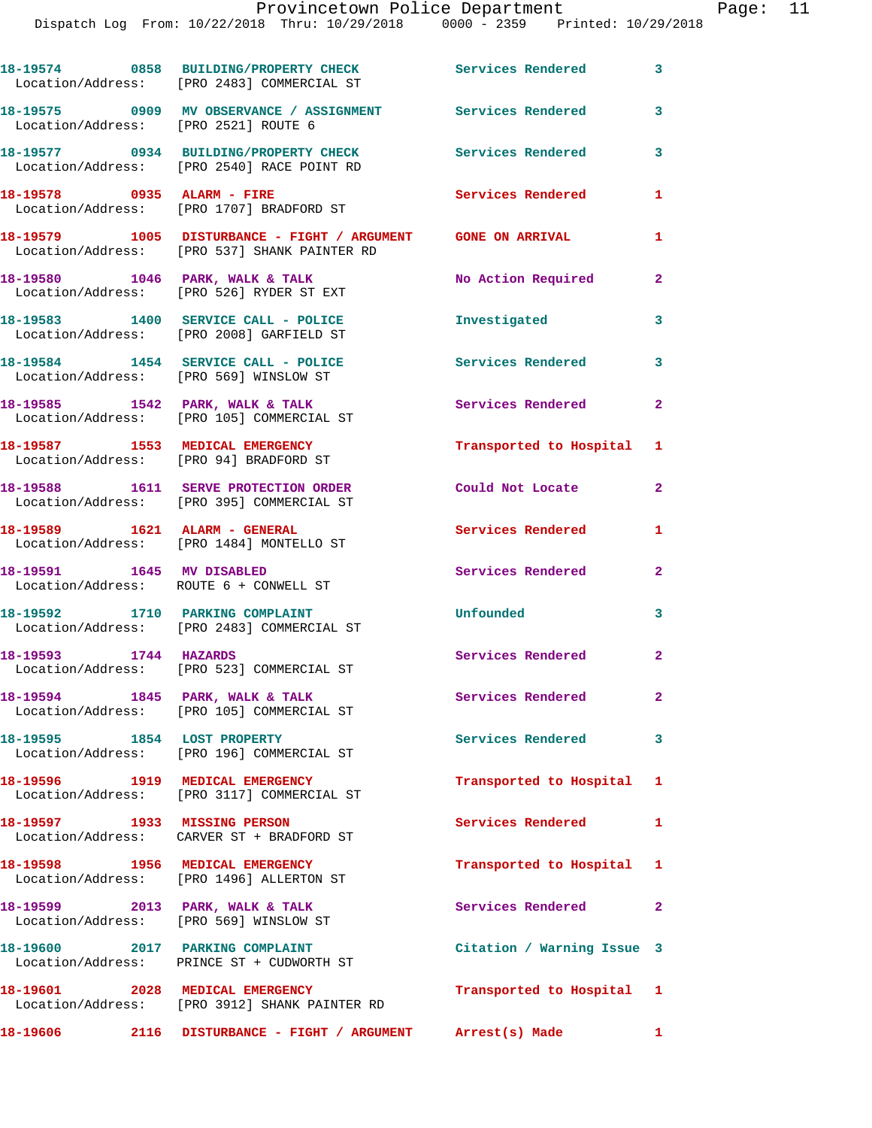|                                                                           | 18-19574 0858 BUILDING/PROPERTY CHECK Services Rendered<br>Location/Address: [PRO 2483] COMMERCIAL ST        |                            | $\mathbf{3}$            |
|---------------------------------------------------------------------------|--------------------------------------------------------------------------------------------------------------|----------------------------|-------------------------|
| Location/Address: [PRO 2521] ROUTE 6                                      | 18-19575 0909 MV OBSERVANCE / ASSIGNMENT Services Rendered                                                   |                            | 3                       |
|                                                                           | 18-19577 0934 BUILDING/PROPERTY CHECK Services Rendered<br>Location/Address: [PRO 2540] RACE POINT RD        |                            | $\overline{\mathbf{3}}$ |
|                                                                           | 18-19578 0935 ALARM - FIRE<br>Location/Address: [PRO 1707] BRADFORD ST                                       | Services Rendered          | 1                       |
|                                                                           | 18-19579 1005 DISTURBANCE - FIGHT / ARGUMENT GONE ON ARRIVAL<br>Location/Address: [PRO 537] SHANK PAINTER RD |                            | 1                       |
|                                                                           | 18-19580 1046 PARK, WALK & TALK<br>Location/Address: [PRO 526] RYDER ST EXT                                  | No Action Required         | $\mathbf{2}$            |
|                                                                           | 18-19583 1400 SERVICE CALL - POLICE<br>Location/Address: [PRO 2008] GARFIELD ST                              | Investigated               | $\mathbf{3}$            |
| Location/Address: [PRO 569] WINSLOW ST                                    | 18-19584 1454 SERVICE CALL - POLICE                                                                          | <b>Services Rendered</b>   | 3                       |
|                                                                           | 18-19585 1542 PARK, WALK & TALK<br>Location/Address: [PRO 105] COMMERCIAL ST                                 | Services Rendered          | $\overline{\mathbf{2}}$ |
|                                                                           | 18-19587 1553 MEDICAL EMERGENCY<br>Location/Address: [PRO 94] BRADFORD ST                                    | Transported to Hospital 1  |                         |
|                                                                           | 18-19588 1611 SERVE PROTECTION ORDER<br>Location/Address: [PRO 395] COMMERCIAL ST                            | Could Not Locate           | $\mathbf{2}$            |
|                                                                           | 18-19589    1621    ALARM - GENERAL<br>Location/Address: [PRO 1484] MONTELLO ST                              | <b>Services Rendered</b>   | 1                       |
| 18-19591 1645 MV DISABLED<br>Location/Address: ROUTE 6 + CONWELL ST       |                                                                                                              | <b>Services Rendered</b>   | $\mathbf{2}$            |
|                                                                           | 18-19592 1710 PARKING COMPLAINT<br>Location/Address: [PRO 2483] COMMERCIAL ST                                | Unfounded                  | $\overline{\mathbf{3}}$ |
| 18-19593 1744 HAZARDS                                                     | Location/Address: [PRO 523] COMMERCIAL ST                                                                    | Services Rendered          | $\mathbf{2}$            |
|                                                                           | $18-19594$ 1845 PARK, WALK & TALK<br>Location/Address: [PRO 105] COMMERCIAL ST                               | Services Rendered          | 2                       |
|                                                                           | 18-19595 1854 LOST PROPERTY<br>Location/Address: [PRO 196] COMMERCIAL ST                                     | Services Rendered 3        |                         |
|                                                                           | 18-19596 1919 MEDICAL EMERGENCY<br>Location/Address: [PRO 3117] COMMERCIAL ST                                | Transported to Hospital 1  |                         |
| 18-19597 1933 MISSING PERSON                                              | Location/Address: CARVER ST + BRADFORD ST                                                                    | <b>Services Rendered</b>   | 1                       |
|                                                                           | 18-19598 1956 MEDICAL EMERGENCY<br>Location/Address: [PRO 1496] ALLERTON ST                                  | Transported to Hospital 1  |                         |
| 18-19599 2013 PARK, WALK & TALK<br>Location/Address: [PRO 569] WINSLOW ST |                                                                                                              | Services Rendered          | $\mathbf{2}$            |
|                                                                           | 18-19600 2017 PARKING COMPLAINT<br>Location/Address: PRINCE ST + CUDWORTH ST                                 | Citation / Warning Issue 3 |                         |
|                                                                           | 18-19601 2028 MEDICAL EMERGENCY<br>Location/Address: [PRO 3912] SHANK PAINTER RD                             | Transported to Hospital 1  |                         |
|                                                                           |                                                                                                              |                            |                         |

**18-19606 2116 DISTURBANCE - FIGHT / ARGUMENT Arrest(s) Made 1**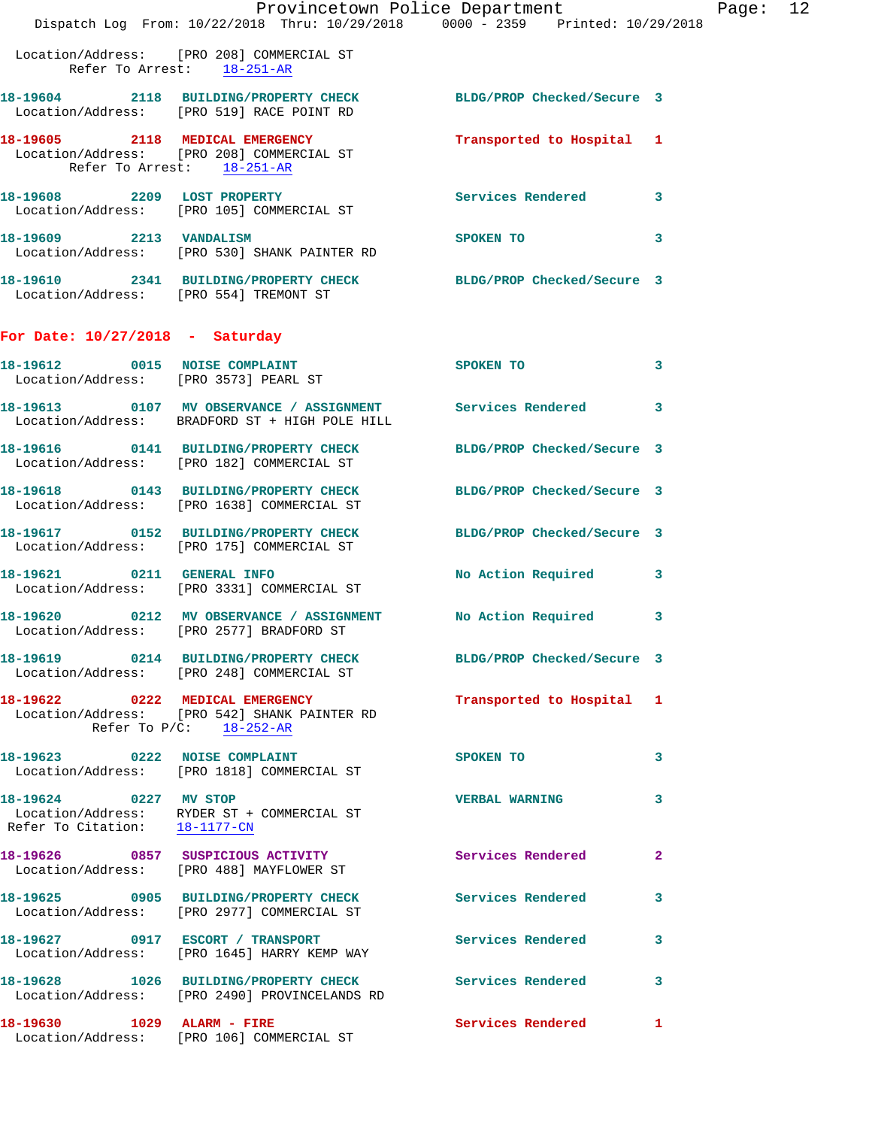|                                                                        | Provincetown Police Department<br>Dispatch Log From: 10/22/2018 Thru: 10/29/2018 0000 - 2359 Printed: 10/29/2018    |                            |   |
|------------------------------------------------------------------------|---------------------------------------------------------------------------------------------------------------------|----------------------------|---|
|                                                                        | Location/Address: [PRO 208] COMMERCIAL ST<br>Refer To Arrest: 18-251-AR                                             |                            |   |
|                                                                        | 18-19604 2118 BUILDING/PROPERTY CHECK<br>Location/Address: [PRO 519] RACE POINT RD                                  | BLDG/PROP Checked/Secure 3 |   |
| Refer To Arrest: 18-251-AR                                             | 18-19605 2118 MEDICAL EMERGENCY<br>Location/Address: [PRO 208] COMMERCIAL ST                                        | Transported to Hospital 1  |   |
| 18-19608 2209 LOST PROPERTY                                            | Location/Address: [PRO 105] COMMERCIAL ST                                                                           | <b>Services Rendered</b>   | 3 |
| 18-19609 2213 VANDALISM                                                | Location/Address: [PRO 530] SHANK PAINTER RD                                                                        | SPOKEN TO                  | 3 |
| Location/Address: [PRO 554] TREMONT ST                                 | 18-19610 2341 BUILDING/PROPERTY CHECK                                                                               | BLDG/PROP Checked/Secure 3 |   |
| For Date: $10/27/2018$ - Saturday                                      |                                                                                                                     |                            |   |
| 18-19612 0015 NOISE COMPLAINT<br>Location/Address: [PRO 3573] PEARL ST |                                                                                                                     | <b>SPOKEN TO</b>           | 3 |
|                                                                        | 18-19613 0107 MV OBSERVANCE / ASSIGNMENT Services Rendered<br>Location/Address: BRADFORD ST + HIGH POLE HILL        |                            | 3 |
|                                                                        | 18-19616 0141 BUILDING/PROPERTY CHECK<br>Location/Address: [PRO 182] COMMERCIAL ST                                  | BLDG/PROP Checked/Secure 3 |   |
|                                                                        | 18-19618 0143 BUILDING/PROPERTY CHECK<br>Location/Address: [PRO 1638] COMMERCIAL ST                                 | BLDG/PROP Checked/Secure 3 |   |
|                                                                        | 18-19617 0152 BUILDING/PROPERTY CHECK<br>Location/Address: [PRO 175] COMMERCIAL ST                                  | BLDG/PROP Checked/Secure 3 |   |
| 18-19621 0211 GENERAL INFO                                             | Location/Address: [PRO 3331] COMMERCIAL ST                                                                          | No Action Required         | 3 |
| 18-19620                                                               | 0212 MV OBSERVANCE / ASSIGNMENT No Action Required<br>Location/Address: [PRO 2577] BRADFORD ST                      |                            | 3 |
|                                                                        | 18-19619 		 0214 BUILDING/PROPERTY CHECK 		 BLDG/PROP Checked/Secure 3<br>Location/Address: [PRO 248] COMMERCIAL ST |                            |   |
|                                                                        | 18-19622 0222 MEDICAL EMERGENCY<br>Location/Address: [PRO 542] SHANK PAINTER RD<br>Refer To $P/C$ : 18-252-AR       | Transported to Hospital 1  |   |
|                                                                        | 18-19623 0222 NOISE COMPLAINT<br>Location/Address: [PRO 1818] COMMERCIAL ST                                         | <b>SPOKEN TO</b>           | 3 |
| 18-19624 0227 MV STOP<br>Refer To Citation: 18-1177-CN                 | Location/Address: RYDER ST + COMMERCIAL ST                                                                          | <b>VERBAL WARNING</b>      | 3 |
|                                                                        | 18-19626 0857 SUSPICIOUS ACTIVITY<br>Location/Address: [PRO 488] MAYFLOWER ST                                       | <b>Services Rendered</b>   | 2 |
|                                                                        | 18-19625 0905 BUILDING/PROPERTY CHECK<br>Location/Address: [PRO 2977] COMMERCIAL ST                                 | <b>Services Rendered</b>   | 3 |
|                                                                        | 18-19627 0917 ESCORT / TRANSPORT<br>Location/Address: [PRO 1645] HARRY KEMP WAY                                     | <b>Services Rendered</b>   | 3 |
|                                                                        | 18-19628 1026 BUILDING/PROPERTY CHECK<br>Location/Address: [PRO 2490] PROVINCELANDS RD                              | Services Rendered          | 3 |
|                                                                        | Location/Address: [PRO 106] COMMERCIAL ST                                                                           | Services Rendered          | 1 |

Page: 12<br>18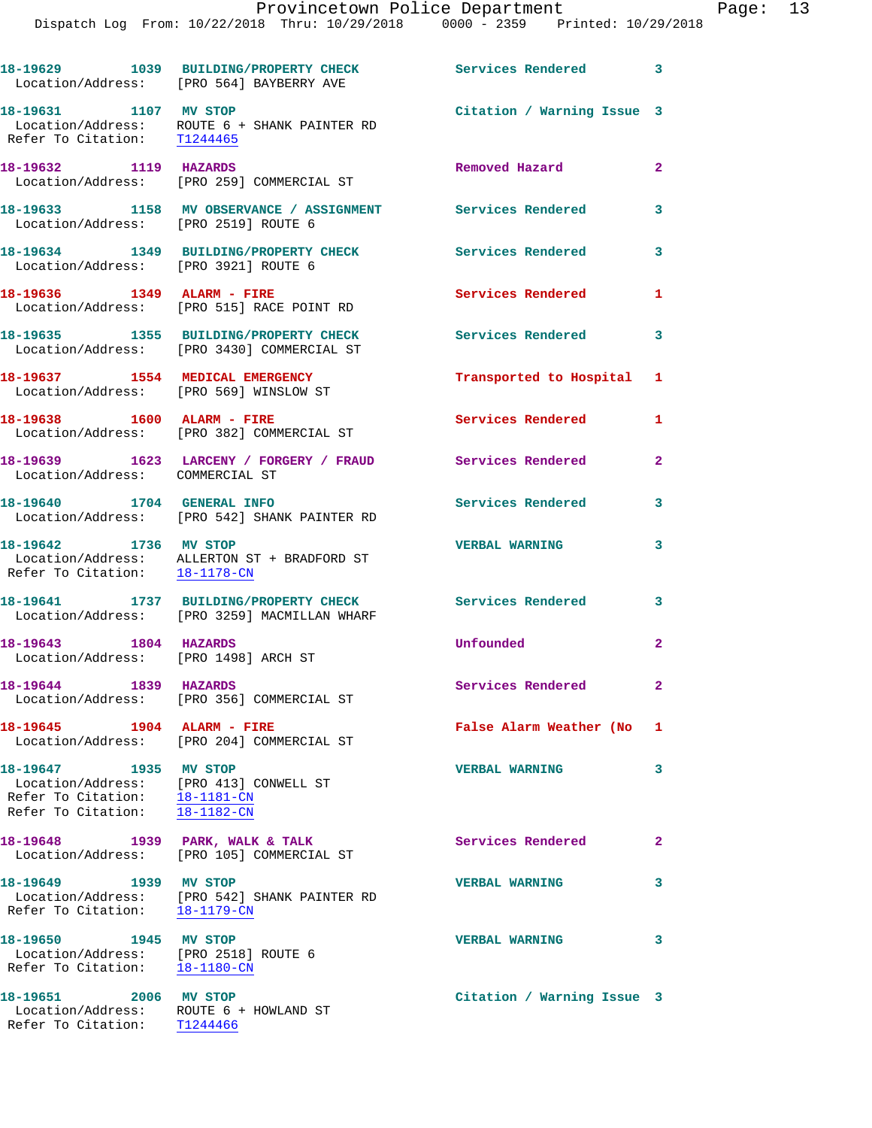|                                                                                                                                   | 18-19629 1039 BUILDING/PROPERTY CHECK Services Rendered 3<br>Location/Address: [PRO 564] BAYBERRY AVE |                            |                            |
|-----------------------------------------------------------------------------------------------------------------------------------|-------------------------------------------------------------------------------------------------------|----------------------------|----------------------------|
| 18-19631 1107 MV STOP                                                                                                             | Location/Address: ROUTE 6 + SHANK PAINTER RD<br>Refer To Citation: T1244465                           | Citation / Warning Issue 3 |                            |
| 18-19632 1119 HAZARDS                                                                                                             | Location/Address: [PRO 259] COMMERCIAL ST                                                             | Removed Hazard             | 2 <sup>1</sup>             |
| Location/Address: [PRO 2519] ROUTE 6                                                                                              | 18-19633 1158 MV OBSERVANCE / ASSIGNMENT Services Rendered                                            |                            | 3                          |
| Location/Address: [PRO 3921] ROUTE 6                                                                                              | 18-19634 1349 BUILDING/PROPERTY CHECK                                                                 | <b>Services Rendered</b>   | 3                          |
| 18-19636   1349   ALARM - FIRE                                                                                                    | Location/Address: [PRO 515] RACE POINT RD                                                             | Services Rendered          | $\mathbf{1}$               |
|                                                                                                                                   | 18-19635 1355 BUILDING/PROPERTY CHECK<br>Location/Address: [PRO 3430] COMMERCIAL ST                   | <b>Services Rendered</b>   | 3                          |
|                                                                                                                                   | 18-19637 1554 MEDICAL EMERGENCY<br>Location/Address: [PRO 569] WINSLOW ST                             | Transported to Hospital 1  |                            |
|                                                                                                                                   | 18-19638 1600 ALARM - FIRE<br>Location/Address: [PRO 382] COMMERCIAL ST                               | Services Rendered          | 1                          |
| Location/Address: COMMERCIAL ST                                                                                                   | 18-19639 1623 LARCENY / FORGERY / FRAUD Services Rendered                                             |                            | $\mathbf{2}$               |
| 18-19640 1704 GENERAL INFO                                                                                                        | Location/Address: [PRO 542] SHANK PAINTER RD                                                          | Services Rendered          | 3                          |
| 18-19642 1736 MV STOP<br>Refer To Citation: 18-1178-CN                                                                            | Location/Address: ALLERTON ST + BRADFORD ST                                                           | <b>VERBAL WARNING</b>      | 3                          |
|                                                                                                                                   | 18-19641 1737 BUILDING/PROPERTY CHECK<br>Location/Address: [PRO 3259] MACMILLAN WHARF                 | Services Rendered          | $\overline{\phantom{a}}$ 3 |
| 18-19643 1804 HAZARDS<br>Location/Address: [PRO 1498] ARCH ST                                                                     |                                                                                                       | Unfounded                  | $\overline{a}$             |
| 18-19644 1839 HAZARDS                                                                                                             | Location/Address: [PRO 356] COMMERCIAL ST                                                             | Services Rendered          | $\mathbf{2}^-$             |
| 18-19645                                                                                                                          | 1904 ALARM - FIRE<br>Location/Address: [PRO 204] COMMERCIAL ST                                        | False Alarm Weather (No 1  |                            |
| 18-19647 1935 MV STOP<br>Location/Address: [PRO 413] CONWELL ST<br>Refer To Citation: 18-1181-CN<br>Refer To Citation: 18-1182-CN |                                                                                                       | <b>VERBAL WARNING</b>      | 3                          |
| Location/Address:                                                                                                                 | 18-19648 1939 PARK, WALK & TALK<br>[PRO 105] COMMERCIAL ST                                            | Services Rendered          | $\mathbf{2}$               |
| 18-19649 1939 MV STOP                                                                                                             | Location/Address: [PRO 542] SHANK PAINTER RD<br>Refer To Citation: $\frac{18-1179-CN}{\ }$            | <b>VERBAL WARNING</b>      | 3                          |
| 18-19650 1945 MV STOP<br>Location/Address: [PRO 2518] ROUTE 6<br>Refer To Citation: 18-1180-CN                                    |                                                                                                       | <b>VERBAL WARNING</b>      | 3                          |
| 18-19651 2006 MV STOP<br>Location/Address: ROUTE 6 + HOWLAND ST<br>Refer To Citation: T1244466                                    |                                                                                                       | Citation / Warning Issue 3 |                            |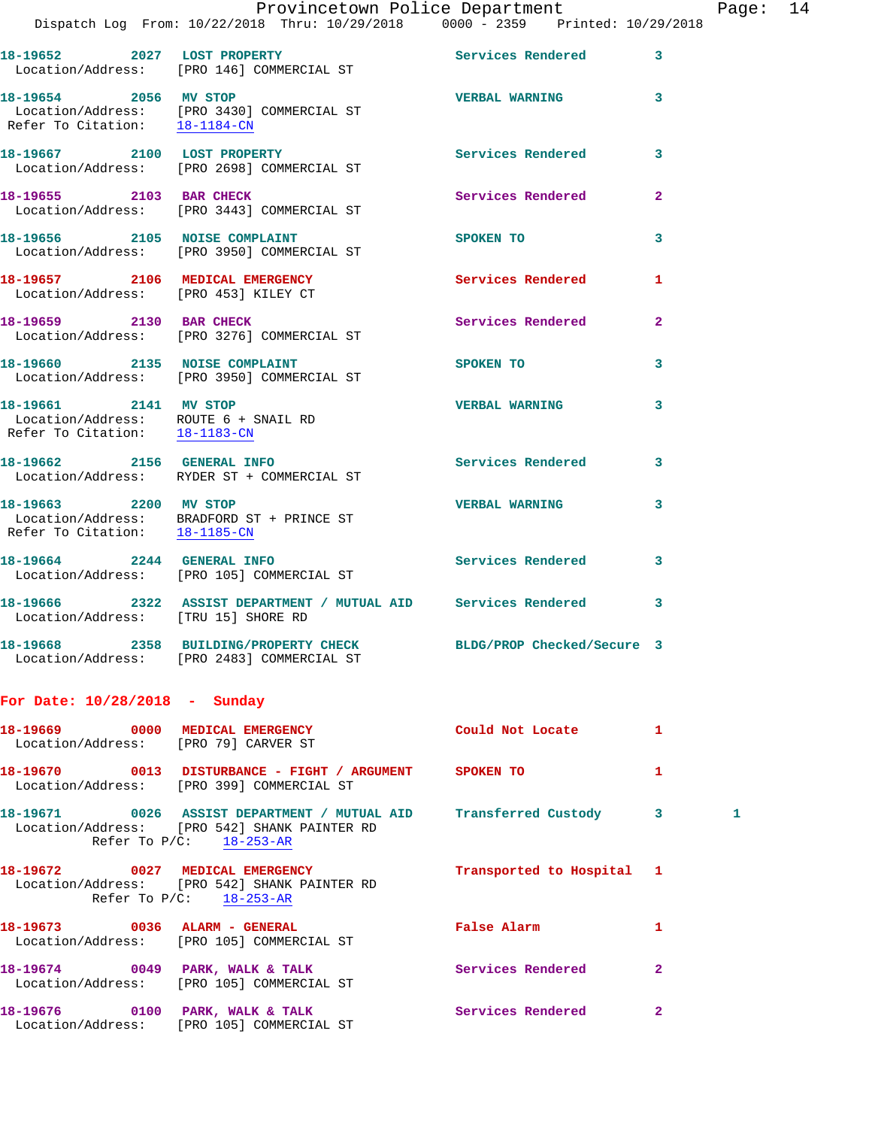|                                                                                                | Provincetown Police Department<br>Dispatch Log From: 10/22/2018 Thru: 10/29/2018 0000 - 2359 Printed: 10/29/2018                                              |                           |              | Page: 14 |  |
|------------------------------------------------------------------------------------------------|---------------------------------------------------------------------------------------------------------------------------------------------------------------|---------------------------|--------------|----------|--|
|                                                                                                | 18-19652 2027 LOST PROPERTY<br>Location/Address: [PRO 146] COMMERCIAL ST                                                                                      | Services Rendered 3       |              |          |  |
| 18-19654 2056 MV STOP                                                                          | Location/Address: [PRO 3430] COMMERCIAL ST<br>Refer To Citation: 18-1184-CN                                                                                   | VERBAL WARNING 3          |              |          |  |
|                                                                                                | 18-19667 2100 LOST PROPERTY<br>Location/Address: [PRO 2698] COMMERCIAL ST                                                                                     | Services Rendered 3       |              |          |  |
|                                                                                                | 18-19655 2103 BAR CHECK<br>Location/Address: [PRO 3443] COMMERCIAL ST                                                                                         | Services Rendered         | $\mathbf{2}$ |          |  |
|                                                                                                | 18-19656 2105 NOISE COMPLAINT<br>Location/Address: [PRO 3950] COMMERCIAL ST                                                                                   | <b>SPOKEN TO</b>          | $\mathbf{3}$ |          |  |
| Location/Address: [PRO 453] KILEY CT                                                           | 18-19657 2106 MEDICAL EMERGENCY                                                                                                                               | Services Rendered         | 1            |          |  |
|                                                                                                | 18-19659 2130 BAR CHECK<br>Location/Address: [PRO 3276] COMMERCIAL ST                                                                                         | Services Rendered 2       |              |          |  |
|                                                                                                | 18-19660 2135 NOISE COMPLAINT<br>Location/Address: [PRO 3950] COMMERCIAL ST                                                                                   | SPOKEN TO                 | 3            |          |  |
| 18-19661 2141 MV STOP<br>Location/Address: ROUTE 6 + SNAIL RD<br>Refer To Citation: 18-1183-CN |                                                                                                                                                               | <b>VERBAL WARNING</b>     | $\mathbf{3}$ |          |  |
|                                                                                                | 18-19662 2156 GENERAL INFO<br>Location/Address: RYDER ST + COMMERCIAL ST                                                                                      | Services Rendered 3       |              |          |  |
| 18-19663 2200 MV STOP<br>Refer To Citation: 18-1185-CN                                         | Location/Address: BRADFORD ST + PRINCE ST                                                                                                                     | <b>VERBAL WARNING</b>     | 3            |          |  |
|                                                                                                | 18-19664 2244 GENERAL INFO<br>Location/Address: [PRO 105] COMMERCIAL ST                                                                                       | Services Rendered 3       |              |          |  |
| Location/Address: [TRU 15] SHORE RD                                                            | 18-19666 2322 ASSIST DEPARTMENT / MUTUAL AID Services Rendered                                                                                                |                           | 3            |          |  |
|                                                                                                | 18-19668 2358 BUILDING/PROPERTY CHECK BLDG/PROP Checked/Secure 3<br>Location/Address: [PRO 2483] COMMERCIAL ST                                                |                           |              |          |  |
| For Date: $10/28/2018$ - Sunday                                                                |                                                                                                                                                               |                           |              |          |  |
| Location/Address: [PRO 79] CARVER ST                                                           | 18-19669 0000 MEDICAL EMERGENCY                                                                                                                               | Could Not Locate          | 1            |          |  |
|                                                                                                | 18-19670 0013 DISTURBANCE - FIGHT / ARGUMENT SPOKEN TO<br>Location/Address: [PRO 399] COMMERCIAL ST                                                           |                           | $\mathbf{1}$ |          |  |
|                                                                                                | 18-19671      0026  ASSIST DEPARTMENT / MUTUAL AID    Transferred Custody     3<br>Location/Address: [PRO 542] SHANK PAINTER RD<br>Refer To $P/C$ : 18-253-AR |                           |              | 1        |  |
|                                                                                                | 18-19672 0027 MEDICAL EMERGENCY<br>Location/Address: [PRO 542] SHANK PAINTER RD<br>Refer To P/C: 18-253-AR                                                    | Transported to Hospital 1 |              |          |  |

**18-19673 0036 ALARM - GENERAL False Alarm 1 18-19674 0049 PARK, WALK & TALK Services Rendered 2 18-19676 0100 PARK, WALK & TALK Services Rendered 2** 

Refer To P/C: 18-253-AR

Location/Address: [PRO 105] COMMERCIAL ST

Location/Address: [PRO 105] COMMERCIAL ST

Location/Address: [PRO 105] COMMERCIAL ST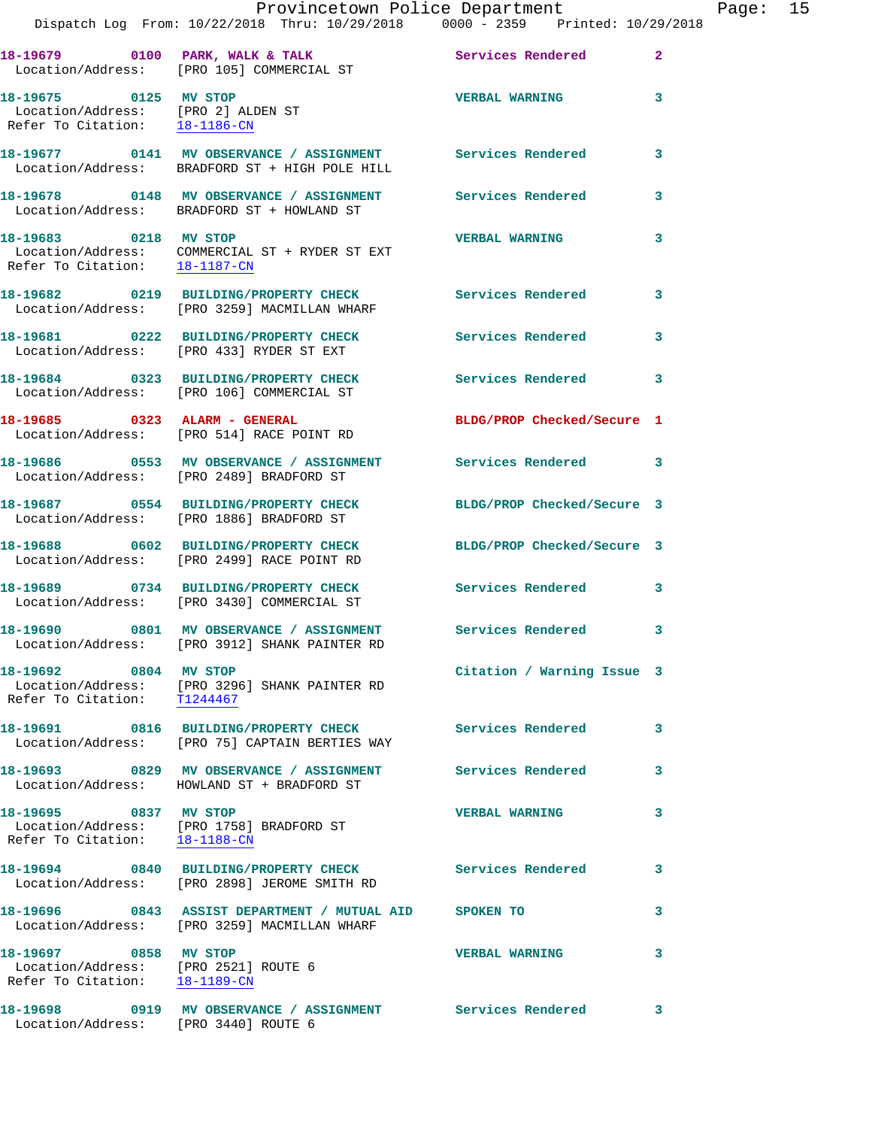|                                                                                                | Dispatch Log From: 10/22/2018 Thru: 10/29/2018 0000 - 2359 Printed: 10/29/2018                                | Provincetown Police Department |              | Page: 15 |  |
|------------------------------------------------------------------------------------------------|---------------------------------------------------------------------------------------------------------------|--------------------------------|--------------|----------|--|
|                                                                                                | Location/Address: [PRO 105] COMMERCIAL ST                                                                     |                                | $\mathbf{2}$ |          |  |
| 18-19675 0125 MV STOP<br>Location/Address: [PRO 2] ALDEN ST<br>Refer To Citation: 18-1186-CN   |                                                                                                               | <b>VERBAL WARNING</b>          | 3            |          |  |
|                                                                                                | 18-19677 0141 MV OBSERVANCE / ASSIGNMENT Services Rendered<br>Location/Address: BRADFORD ST + HIGH POLE HILL  |                                | 3            |          |  |
|                                                                                                | 18-19678 0148 MV OBSERVANCE / ASSIGNMENT Services Rendered<br>Location/Address: BRADFORD ST + HOWLAND ST      |                                | 3            |          |  |
| 18-19683 0218 MV STOP<br>Refer To Citation: 18-1187-CN                                         | Location/Address: COMMERCIAL ST + RYDER ST EXT                                                                | <b>VERBAL WARNING</b>          | 3            |          |  |
|                                                                                                | 18-19682 0219 BUILDING/PROPERTY CHECK Services Rendered<br>Location/Address: [PRO 3259] MACMILLAN WHARF       |                                | 3            |          |  |
|                                                                                                | 18-19681 0222 BUILDING/PROPERTY CHECK Services Rendered<br>Location/Address: [PRO 433] RYDER ST EXT           |                                | 3            |          |  |
|                                                                                                | 18-19684 0323 BUILDING/PROPERTY CHECK<br>Location/Address: [PRO 106] COMMERCIAL ST                            | Services Rendered              | 3            |          |  |
|                                                                                                | 18-19685 0323 ALARM - GENERAL<br>Location/Address: [PRO 514] RACE POINT RD                                    | BLDG/PROP Checked/Secure 1     |              |          |  |
|                                                                                                |                                                                                                               |                                |              |          |  |
|                                                                                                | 18-19687 0554 BUILDING/PROPERTY CHECK<br>Location/Address: [PRO 1886] BRADFORD ST                             | BLDG/PROP Checked/Secure 3     |              |          |  |
|                                                                                                | 18-19688 0602 BUILDING/PROPERTY CHECK<br>Location/Address: [PRO 2499] RACE POINT RD                           | BLDG/PROP Checked/Secure 3     |              |          |  |
|                                                                                                | 18-19689 0734 BUILDING/PROPERTY CHECK Services Rendered<br>Location/Address: [PRO 3430] COMMERCIAL ST         |                                | 3            |          |  |
|                                                                                                | 18-19690 0801 MV OBSERVANCE / ASSIGNMENT Services Rendered 3<br>Location/Address: [PRO 3912] SHANK PAINTER RD |                                |              |          |  |
| 18-19692 0804 MV STOP                                                                          | Location/Address: [PRO 3296] SHANK PAINTER RD<br>Refer To Citation: T1244467                                  | Citation / Warning Issue 3     |              |          |  |
|                                                                                                |                                                                                                               | <b>Services Rendered</b>       | 3            |          |  |
|                                                                                                | 18-19693 6829 MV OBSERVANCE / ASSIGNMENT Services Rendered<br>Location/Address: HOWLAND ST + BRADFORD ST      |                                | 3            |          |  |
| 18-19695 0837 MV STOP<br>Refer To Citation: 18-1188-CN                                         | Location/Address: [PRO 1758] BRADFORD ST                                                                      | <b>VERBAL WARNING</b>          | 3            |          |  |
|                                                                                                | 18-19694 0840 BUILDING/PROPERTY CHECK Services Rendered<br>Location/Address: [PRO 2898] JEROME SMITH RD       |                                | 3            |          |  |
|                                                                                                | 18-19696 6843 ASSIST DEPARTMENT / MUTUAL AID SPOKEN TO<br>Location/Address: [PRO 3259] MACMILLAN WHARF        |                                | 3            |          |  |
| 18-19697 0858 MV STOP<br>Location/Address: [PRO 2521] ROUTE 6<br>Refer To Citation: 18-1189-CN |                                                                                                               | <b>VERBAL WARNING</b>          | 3            |          |  |
| Location/Address: [PRO 3440] ROUTE 6                                                           | 18-19698 0919 MV OBSERVANCE / ASSIGNMENT Services Rendered                                                    |                                | 3            |          |  |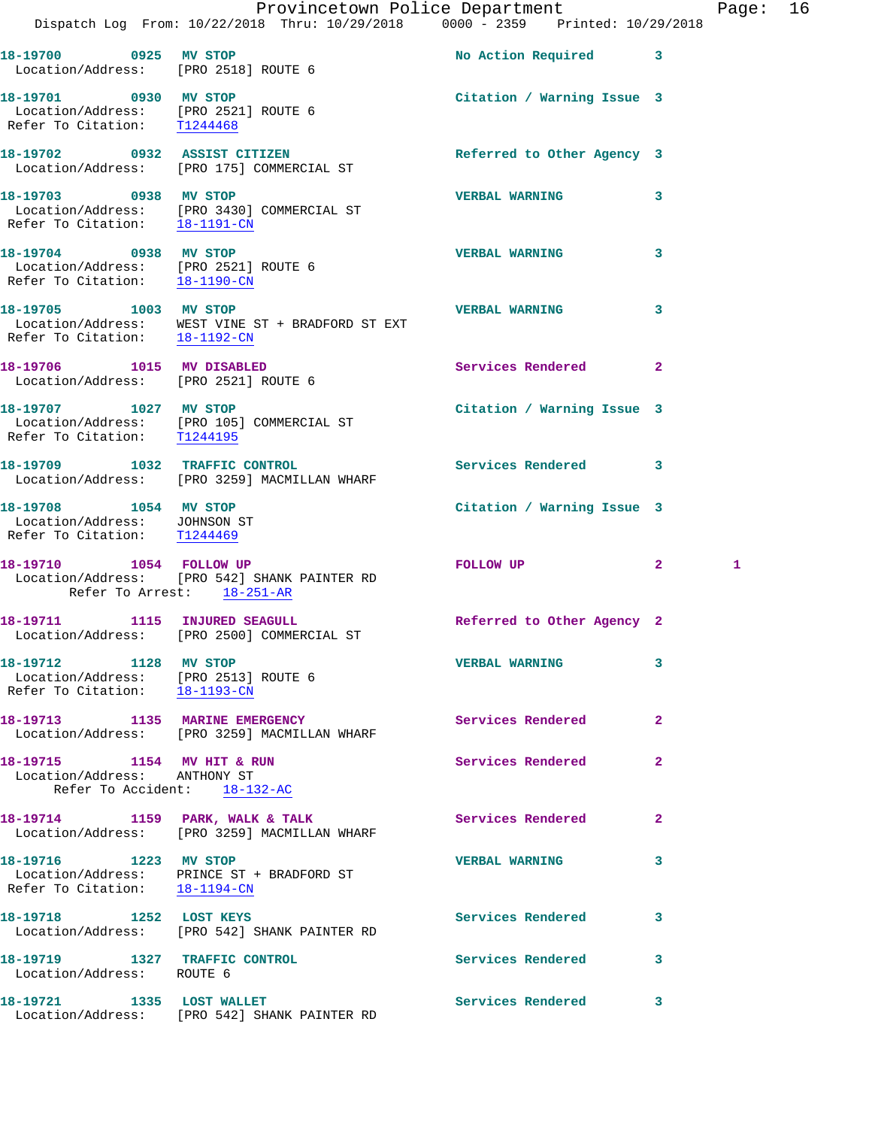|                                                                                                |                                                                                 | Provincetown Police Department      | Page: 16 |
|------------------------------------------------------------------------------------------------|---------------------------------------------------------------------------------|-------------------------------------|----------|
|                                                                                                | Dispatch Log From: 10/22/2018 Thru: 10/29/2018 0000 - 2359 Printed: 10/29/2018  |                                     |          |
| 18-19700 0925 MV STOP<br>Location/Address: [PRO 2518] ROUTE 6                                  |                                                                                 | No Action Required 3                |          |
| 18-19701 0930 MV STOP<br>Location/Address: [PRO 2521] ROUTE 6<br>Refer To Citation: T1244468   |                                                                                 | Citation / Warning Issue 3          |          |
|                                                                                                | 18-19702 0932 ASSIST CITIZEN<br>Location/Address: [PRO 175] COMMERCIAL ST       | Referred to Other Agency 3          |          |
| 18-19703 0938 MV STOP<br>Refer To Citation: 18-1191-CN                                         | Location/Address: [PRO 3430] COMMERCIAL ST                                      | <b>VERBAL WARNING</b><br>3          |          |
| 18-19704 0938 MV STOP<br>Location/Address: [PRO 2521] ROUTE 6<br>Refer To Citation: 18-1190-CM |                                                                                 | <b>VERBAL WARNING</b><br>3          |          |
| 18-19705 1003 MV STOP                                                                          |                                                                                 | <b>VERBAL WARNING</b><br>3          |          |
| 18-19706 1015 MV DISABLED<br>Location/Address: [PRO 2521] ROUTE 6                              |                                                                                 | $\overline{2}$<br>Services Rendered |          |
| 18-19707 1027 MV STOP<br>Refer To Citation: T1244195                                           | Location/Address: [PRO 105] COMMERCIAL ST                                       | Citation / Warning Issue 3          |          |
|                                                                                                | 18-19709 1032 TRAFFIC CONTROL<br>Location/Address: [PRO 3259] MACMILLAN WHARF   | Services Rendered<br>3              |          |
| 18-19708 1054 MV STOP<br>Location/Address: JOHNSON ST<br>Refer To Citation: T1244469           |                                                                                 | Citation / Warning Issue 3          |          |
| 18-19710 1054 FOLLOW UP                                                                        | Location/Address: [PRO 542] SHANK PAINTER RD<br>Refer To Arrest: 18-251-AR      | FOLLOW UP<br>$\mathbf{2}$           | 1        |
| 18-19711 1115 INJURED SEAGULL                                                                  | Location/Address: [PRO 2500] COMMERCIAL ST                                      | Referred to Other Agency 2          |          |
| 18-19712 1128 MV STOP<br>Location/Address: [PRO 2513] ROUTE 6<br>Refer To Citation: 18-1193-CN |                                                                                 | 3<br><b>VERBAL WARNING</b>          |          |
|                                                                                                | 18-19713 1135 MARINE EMERGENCY<br>Location/Address: [PRO 3259] MACMILLAN WHARF  | Services Rendered<br>2              |          |
| 18-19715 1154 MV HIT & RUN<br>Location/Address: ANTHONY ST                                     | Refer To Accident: 18-132-AC                                                    | Services Rendered<br>2              |          |
|                                                                                                | 18-19714 1159 PARK, WALK & TALK<br>Location/Address: [PRO 3259] MACMILLAN WHARF | Services Rendered<br>$\mathbf{2}$   |          |
| 18-19716 1223 MV STOP<br>Refer To Citation: 18-1194-CN                                         | Location/Address: PRINCE ST + BRADFORD ST                                       | 3<br><b>VERBAL WARNING</b>          |          |
| 18-19718 1252 LOST KEYS                                                                        | Location/Address: [PRO 542] SHANK PAINTER RD                                    | <b>Services Rendered</b><br>3       |          |
| 18-19719 1327 TRAFFIC CONTROL<br>Location/Address: ROUTE 6                                     |                                                                                 | Services Rendered<br>3              |          |
| 18-19721 1335 LOST WALLET                                                                      | Location/Address: [PRO 542] SHANK PAINTER RD                                    | Services Rendered<br>3              |          |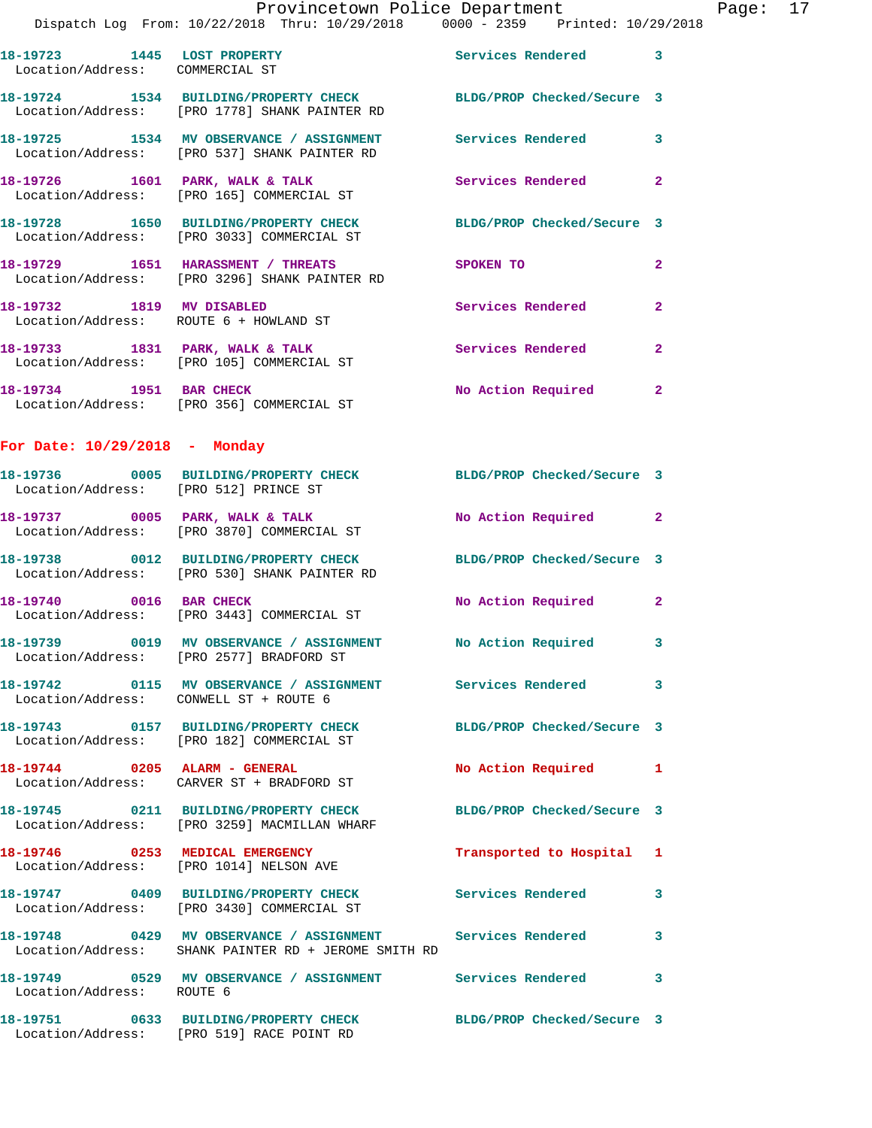|                                        | Dispatch Log From: 10/22/2018 Thru: 10/29/2018 0000 - 2359 Printed: 10/29/2018                                     | Provincetown Police Department Page: 17 |                |  |
|----------------------------------------|--------------------------------------------------------------------------------------------------------------------|-----------------------------------------|----------------|--|
| Location/Address: COMMERCIAL ST        | 18-19723 1445 LOST PROPERTY                                                                                        | Services Rendered 3                     |                |  |
|                                        | 18-19724 1534 BUILDING/PROPERTY CHECK BLDG/PROP Checked/Secure 3<br>Location/Address: [PRO 1778] SHANK PAINTER RD  |                                         |                |  |
|                                        | 18-19725 1534 MV OBSERVANCE / ASSIGNMENT Services Rendered 3<br>Location/Address: [PRO 537] SHANK PAINTER RD       |                                         |                |  |
|                                        | 18-19726 1601 PARK, WALK & TALK Services Rendered<br>Location/Address: [PRO 165] COMMERCIAL ST                     |                                         | $\mathbf{2}$   |  |
|                                        | 18-19728 1650 BUILDING/PROPERTY CHECK BLDG/PROP Checked/Secure 3<br>Location/Address: [PRO 3033] COMMERCIAL ST     |                                         |                |  |
|                                        | 18-19729 1651 HARASSMENT / THREATS<br>Location/Address: [PRO 3296] SHANK PAINTER RD                                | SPOKEN TO                               | $\overline{2}$ |  |
|                                        | 18-19732 1819 MV DISABLED<br>Location/Address: ROUTE 6 + HOWLAND ST                                                | Services Rendered                       | $\overline{2}$ |  |
|                                        | 18-19733 1831 PARK, WALK & TALK<br>Location/Address: [PRO 105] COMMERCIAL ST                                       | Services Rendered                       | $\mathbf{2}$   |  |
|                                        | 18-19734 1951 BAR CHECK<br>Location/Address: [PRO 356] COMMERCIAL ST                                               | No Action Required 2                    |                |  |
| For Date: $10/29/2018$ - Monday        |                                                                                                                    |                                         |                |  |
|                                        | 18-19736 0005 BUILDING/PROPERTY CHECK BLDG/PROP Checked/Secure 3<br>Location/Address: [PRO 512] PRINCE ST          |                                         |                |  |
|                                        | 18-19737 0005 PARK, WALK & TALK<br>Location/Address: [PRO 3870] COMMERCIAL ST                                      | No Action Required 2                    |                |  |
|                                        | 18-19738 0012 BUILDING/PROPERTY CHECK BLDG/PROP Checked/Secure 3<br>Location/Address: [PRO 530] SHANK PAINTER RD   |                                         |                |  |
|                                        | 18-19740 0016 BAR CHECK<br>Location/Address: [PRO 3443] COMMERCIAL ST                                              | No Action Required 2                    |                |  |
|                                        | 18-19739 0019 MV OBSERVANCE / ASSIGNMENT No Action Required 3<br>Location/Address: [PRO 2577] BRADFORD ST          |                                         |                |  |
| Location/Address: CONWELL ST + ROUTE 6 | 18-19742 0115 MV OBSERVANCE / ASSIGNMENT Services Rendered 3                                                       |                                         |                |  |
|                                        | 18-19743 0157 BUILDING/PROPERTY CHECK BLDG/PROP Checked/Secure 3<br>Location/Address: [PRO 182] COMMERCIAL ST      |                                         |                |  |
|                                        | 18-19744 0205 ALARM - GENERAL<br>Location/Address: CARVER ST + BRADFORD ST                                         | No Action Required 1                    |                |  |
|                                        | 18-19745 0211 BUILDING/PROPERTY CHECK BLDG/PROP Checked/Secure 3<br>Location/Address: [PRO 3259] MACMILLAN WHARF   |                                         |                |  |
|                                        | 18-19746 0253 MEDICAL EMERGENCY<br>Location/Address: [PRO 1014] NELSON AVE                                         | Transported to Hospital 1               |                |  |
|                                        | 18-19747 0409 BUILDING/PROPERTY CHECK Services Rendered 3<br>Location/Address: [PRO 3430] COMMERCIAL ST            |                                         |                |  |
|                                        | 18-19748 0429 MV OBSERVANCE / ASSIGNMENT Services Rendered<br>Location/Address: SHANK PAINTER RD + JEROME SMITH RD |                                         | 3              |  |
| Location/Address: ROUTE 6              | 18-19749 0529 MV OBSERVANCE / ASSIGNMENT Services Rendered                                                         |                                         | $\mathbf{3}$   |  |
|                                        | 18-19751 0633 BUILDING/PROPERTY CHECK BLDG/PROP Checked/Secure 3<br>Location/Address: [PRO 519] RACE POINT RD      |                                         |                |  |
|                                        |                                                                                                                    |                                         |                |  |